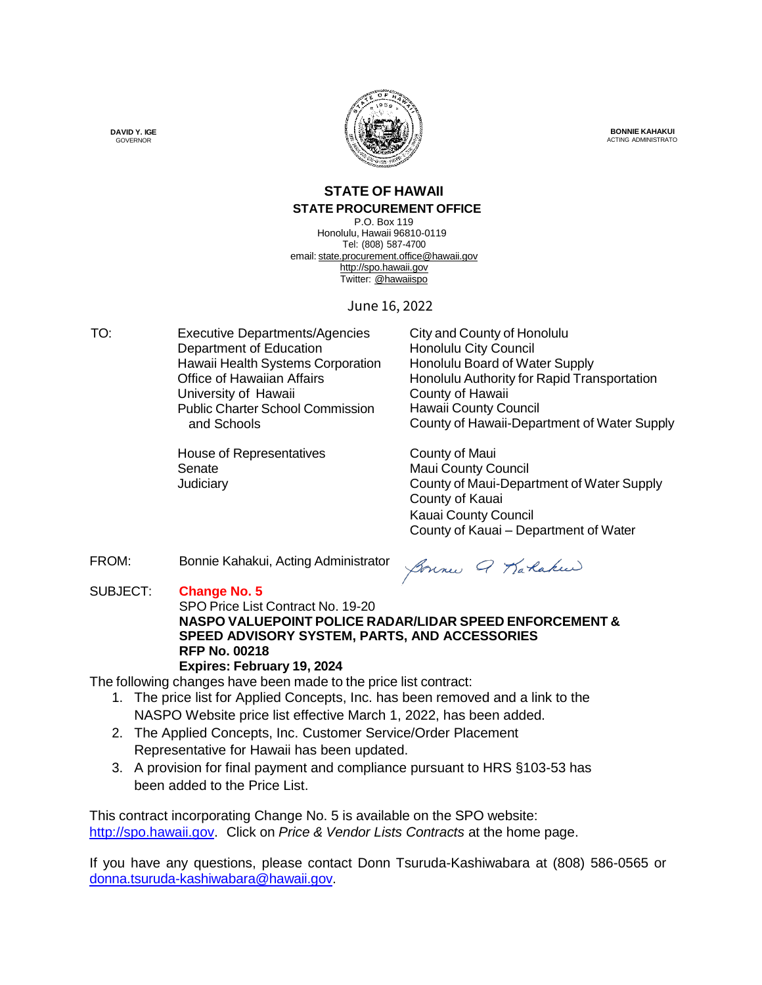

**BONNIE KAHAKUI** ACTING ADMINISTRATO

#### **STATE OF HAWAII STATE PROCUREMENT OFFICE**

P.O. Box 119 Honolulu, Hawaii 96810-0119 Tel: (808) 587-4700 email: [state.procurement.office@hawaii.gov](mailto:state.procurement.office@hawaii.gov) [http://spo.hawaii.gov](http://spo.hawaii.gov/) Twitter: @hawaiispo

June 16, 2022

TO: Executive Departments/Agencies City and County of Honolulu Department of Education<br>
Honolulu City Council<br>
Honolulu Board of Water Supply Hawaii Health Systems Corporation University of Hawaii **County of Hawaii** Public Charter School Commission and Schools

> House of Representatives **County of Maui** Senate Maui County Council

Office of Hawaiian Affairs **Honolulu Authority for Rapid Transportation** Hawaii County Council County of Hawaii-Department of Water Supply

Judiciary County of Maui-Department of Water Supply County of Kauai Kauai County Council County of Kauai – Department of Water

FROM: Bonnie Kahakui, Acting Administrator

Bonne Q Karaku

#### SUBJECT: **Change No. 5**

#### SPO Price List Contract No. 19-20 **NASPO VALUEPOINT POLICE RADAR/LIDAR SPEED ENFORCEMENT & SPEED ADVISORY SYSTEM, PARTS, AND ACCESSORIES RFP No. 00218 Expires: February 19, 2024**

The following changes have been made to the price list contract:

- 1. The price list for Applied Concepts, Inc. has been removed and a link to the NASPO Website price list effective March 1, 2022, has been added.
- 2. The Applied Concepts, Inc. Customer Service/Order Placement Representative for Hawaii has been updated.
- 3. A provision for final payment and compliance pursuant to HRS §103-53 has been added to the Price List.

This contract incorporating Change No. 5 is available on the SPO website: [http://spo.hawaii.gov.](http://spo.hawaii.gov/) Click on *Price & Vendor Lists Contracts* at the home page.

If you have any questions, please contact Donn Tsuruda-Kashiwabara at (808) 586-0565 or [donna.tsuruda-kashiwabara@hawaii.gov.](mailto:donna.tsuruda-kashiwabara@hawaii.gov)

**DAVID Y. IGE** GOVERNOR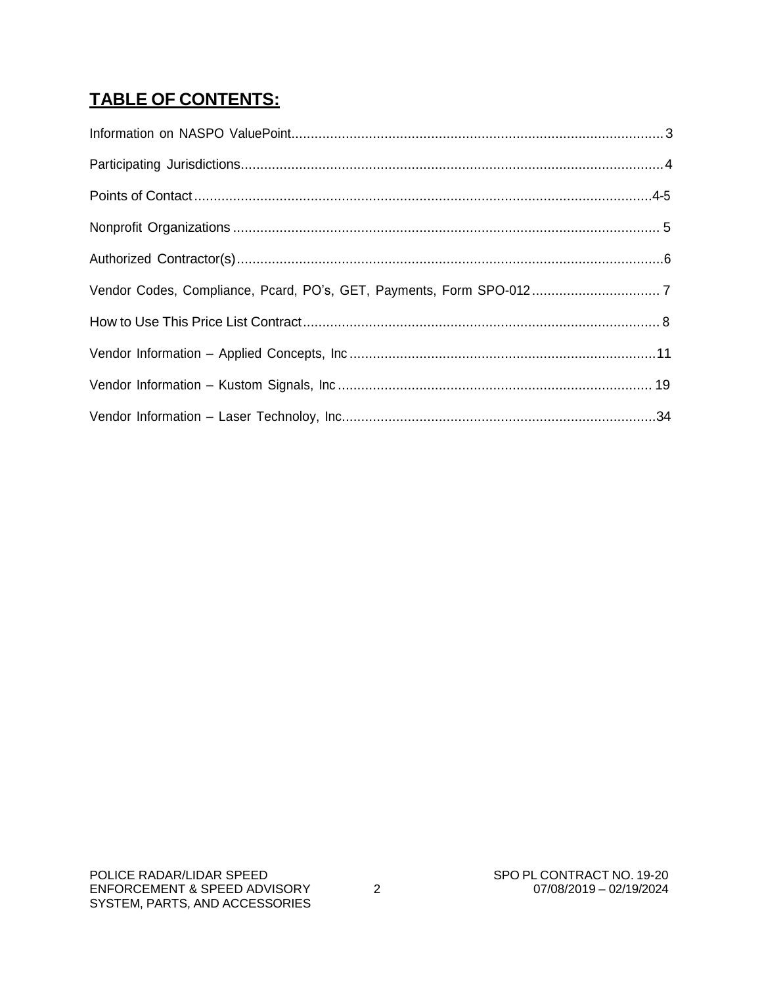## **TABLE OF CONTENTS:**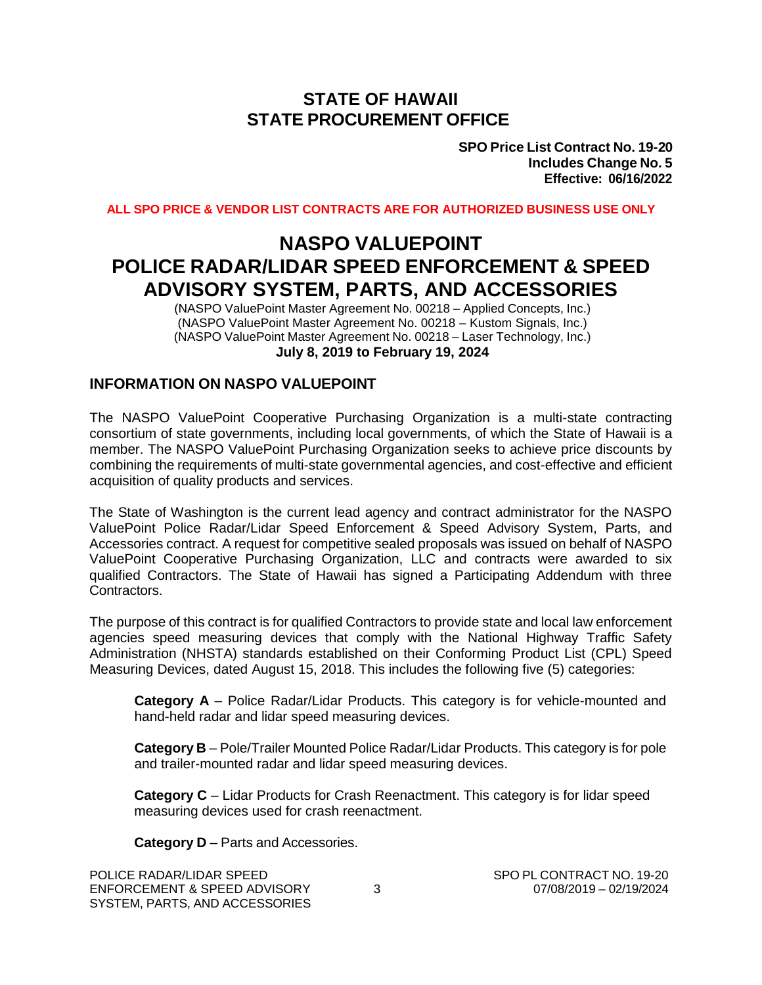#### **STATE OF HAWAII STATE PROCUREMENT OFFICE**

**SPO Price List Contract No. 19-20 Includes Change No. 5 Effective: 06/16/2022**

**ALL SPO PRICE & VENDOR LIST CONTRACTS ARE FOR AUTHORIZED BUSINESS USE ONLY**

## **NASPO VALUEPOINT POLICE RADAR/LIDAR SPEED ENFORCEMENT & SPEED ADVISORY SYSTEM, PARTS, AND ACCESSORIES**

(NASPO ValuePoint Master Agreement No. 00218 – Applied Concepts, Inc.) (NASPO ValuePoint Master Agreement No. 00218 – Kustom Signals, Inc.) (NASPO ValuePoint Master Agreement No. 00218 – Laser Technology, Inc.) **July 8, 2019 to February 19, 2024**

#### **INFORMATION ON NASPO VALUEPOINT**

The NASPO ValuePoint Cooperative Purchasing Organization is a multi-state contracting consortium of state governments, including local governments, of which the State of Hawaii is a member. The NASPO ValuePoint Purchasing Organization seeks to achieve price discounts by combining the requirements of multi-state governmental agencies, and cost-effective and efficient acquisition of quality products and services.

The State of Washington is the current lead agency and contract administrator for the NASPO ValuePoint Police Radar/Lidar Speed Enforcement & Speed Advisory System, Parts, and Accessories contract. A request for competitive sealed proposals was issued on behalf of NASPO ValuePoint Cooperative Purchasing Organization, LLC and contracts were awarded to six qualified Contractors. The State of Hawaii has signed a Participating Addendum with three Contractors.

The purpose of this contract is for qualified Contractors to provide state and local law enforcement agencies speed measuring devices that comply with the National Highway Traffic Safety Administration (NHSTA) standards established on their Conforming Product List (CPL) Speed Measuring Devices, dated August 15, 2018. This includes the following five (5) categories:

**Category A** – Police Radar/Lidar Products. This category is for vehicle-mounted and hand-held radar and lidar speed measuring devices.

**Category B** – Pole/Trailer Mounted Police Radar/Lidar Products. This category is for pole and trailer-mounted radar and lidar speed measuring devices.

**Category C** – Lidar Products for Crash Reenactment. This category is for lidar speed measuring devices used for crash reenactment.

**Category D** – Parts and Accessories.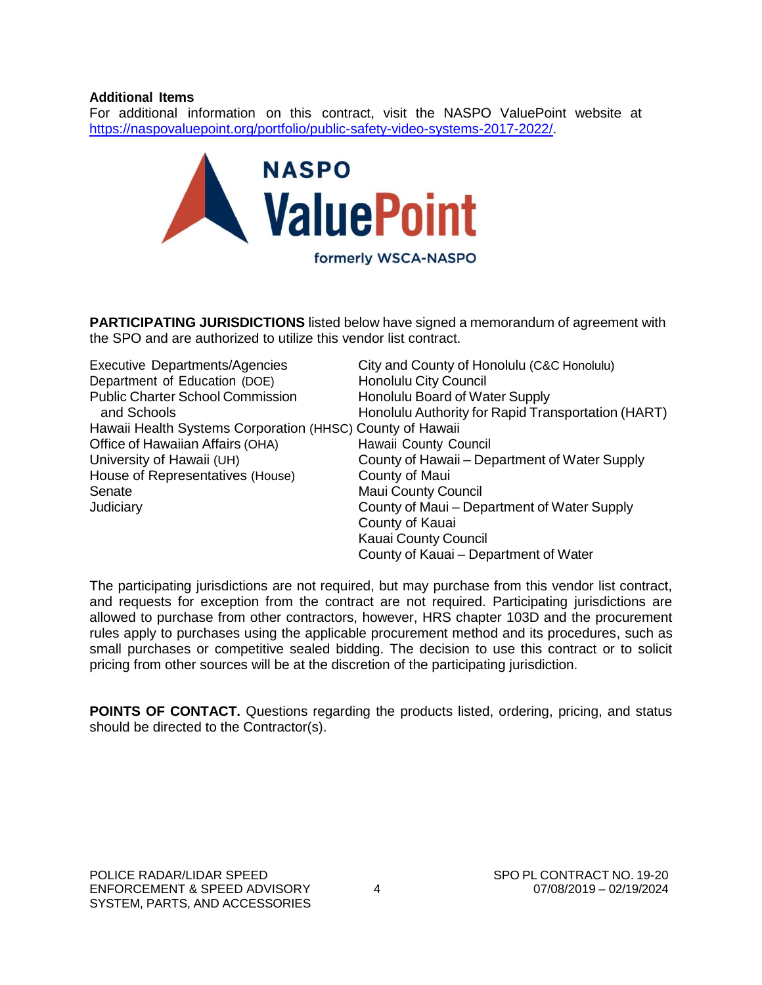#### **Additional Items**

For additional information on this contract, visit the NASPO ValuePoint website at [https://naspovaluepoint.org/portfolio/public-safety-video-systems-2017-2022/.](https://naspovaluepoint.org/portfolio/public-safety-video-systems-2017-2022/)



**PARTICIPATING JURISDICTIONS** listed below have signed a memorandum of agreement with the SPO and are authorized to utilize this vendor list contract.

| <b>Executive Departments/Agencies</b>                     | City and County of Honolulu (C&C Honolulu)         |
|-----------------------------------------------------------|----------------------------------------------------|
| Department of Education (DOE)                             | Honolulu City Council                              |
| <b>Public Charter School Commission</b>                   | Honolulu Board of Water Supply                     |
| and Schools                                               | Honolulu Authority for Rapid Transportation (HART) |
| Hawaii Health Systems Corporation (HHSC) County of Hawaii |                                                    |
| Office of Hawaiian Affairs (OHA)                          | Hawaii County Council                              |
| University of Hawaii (UH)                                 | County of Hawaii - Department of Water Supply      |
| House of Representatives (House)                          | County of Maui                                     |
| Senate                                                    | <b>Maui County Council</b>                         |
| Judiciary                                                 | County of Maui – Department of Water Supply        |
|                                                           | County of Kauai                                    |
|                                                           | <b>Kauai County Council</b>                        |
|                                                           | County of Kauai - Department of Water              |

The participating jurisdictions are not required, but may purchase from this vendor list contract, and requests for exception from the contract are not required. Participating jurisdictions are allowed to purchase from other contractors, however, HRS chapter 103D and the procurement rules apply to purchases using the applicable procurement method and its procedures, such as small purchases or competitive sealed bidding. The decision to use this contract or to solicit pricing from other sources will be at the discretion of the participating jurisdiction.

**POINTS OF CONTACT.** Questions regarding the products listed, ordering, pricing, and status should be directed to the Contractor(s).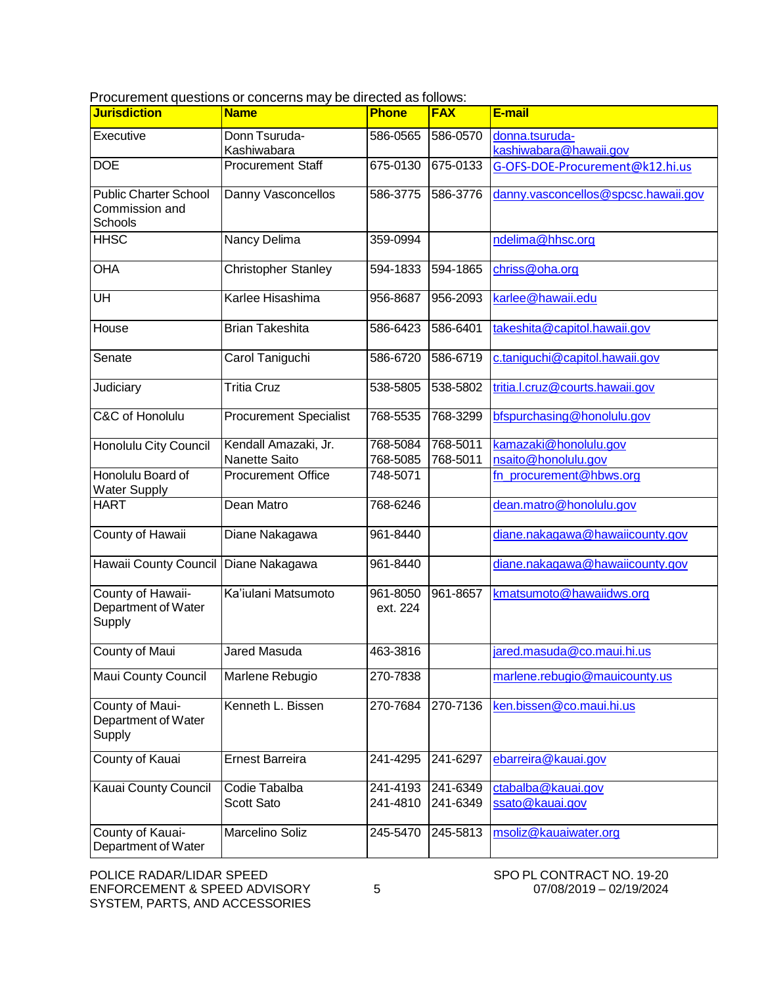Procurement questions or concerns may be directed as follows:

| <b>Jurisdiction</b>                                       | <b>Name</b>                           | <b>Phone</b>         | <b>FAX</b>           | E-mail                                       |
|-----------------------------------------------------------|---------------------------------------|----------------------|----------------------|----------------------------------------------|
| Executive                                                 | Donn Tsuruda-<br>Kashiwabara          | 586-0565             | 586-0570             | donna.tsuruda-<br>kashiwabara@hawaii.gov     |
| <b>DOE</b>                                                | <b>Procurement Staff</b>              | 675-0130             | 675-0133             | G-OFS-DOE-Procurement@k12.hi.us              |
| <b>Public Charter School</b><br>Commission and<br>Schools | Danny Vasconcellos                    | 586-3775             | 586-3776             | danny.vasconcellos@spcsc.hawaii.gov          |
| <b>HHSC</b>                                               | Nancy Delima                          | 359-0994             |                      | ndelima@hhsc.org                             |
| <b>OHA</b>                                                | <b>Christopher Stanley</b>            | 594-1833             | 594-1865             | chriss@oha.org                               |
| UH                                                        | Karlee Hisashima                      | 956-8687             | 956-2093             | karlee@hawaii.edu                            |
| House                                                     | <b>Brian Takeshita</b>                | 586-6423             | 586-6401             | takeshita@capitol.hawaii.gov                 |
| Senate                                                    | Carol Taniguchi                       | 586-6720             | 586-6719             | c.taniguchi@capitol.hawaii.gov               |
| Judiciary                                                 | <b>Tritia Cruz</b>                    | 538-5805             | 538-5802             | tritia.l.cruz@courts.hawaii.gov              |
| C&C of Honolulu                                           | <b>Procurement Specialist</b>         | 768-5535             | 768-3299             | bfspurchasing@honolulu.gov                   |
| Honolulu City Council                                     | Kendall Amazaki, Jr.<br>Nanette Saito | 768-5084<br>768-5085 | 768-5011<br>768-5011 | kamazaki@honolulu.gov<br>nsaito@honolulu.gov |
| Honolulu Board of<br><b>Water Supply</b>                  | <b>Procurement Office</b>             | 748-5071             |                      | fn procurement@hbws.org                      |
| <b>HART</b>                                               | Dean Matro                            | 768-6246             |                      | dean.matro@honolulu.gov                      |
| County of Hawaii                                          | Diane Nakagawa                        | 961-8440             |                      | diane.nakagawa@hawaiicounty.gov              |
| Hawaii County Council Diane Nakagawa                      |                                       | 961-8440             |                      | diane.nakagawa@hawaiicounty.gov              |
| County of Hawaii-<br>Department of Water<br>Supply        | Ka'iulani Matsumoto                   | 961-8050<br>ext. 224 | 961-8657             | kmatsumoto@hawaiidws.org                     |
| County of Maui                                            | <b>Jared Masuda</b>                   | 463-3816             |                      | jared.masuda@co.maui.hi.us                   |
| Maui County Council                                       | Marlene Rebugio                       | 270-7838             |                      | marlene.rebugio@mauicounty.us                |
| County of Maui-<br>Department of Water<br>Supply          | Kenneth L. Bissen                     | 270-7684             | 270-7136             | ken.bissen@co.maui.hi.us                     |
| County of Kauai                                           | <b>Ernest Barreira</b>                | 241-4295             | 241-6297             | ebarreira@kauai.gov                          |
| <b>Kauai County Council</b>                               | Codie Tabalba<br>Scott Sato           | 241-4193<br>241-4810 | 241-6349<br>241-6349 | ctabalba@kauai.gov<br>ssato@kauai.gov        |
| County of Kauai-<br>Department of Water                   | Marcelino Soliz                       | 245-5470             | 245-5813             | msoliz@kauaiwater.org                        |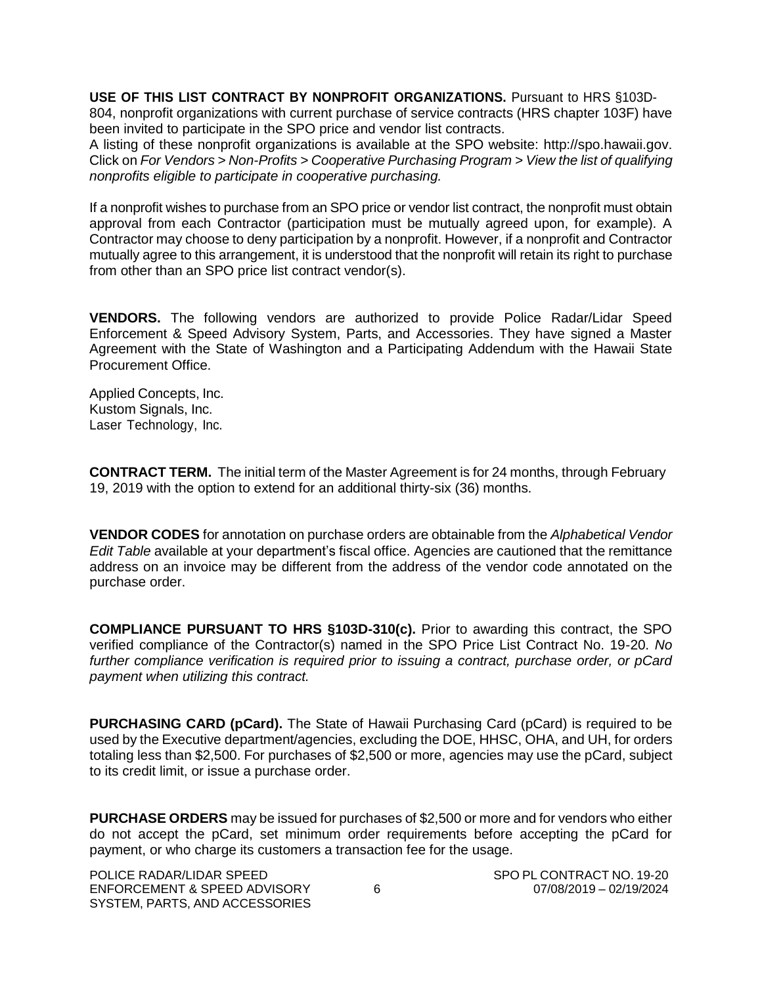**USE OF THIS LIST CONTRACT BY NONPROFIT ORGANIZATIONS.** Pursuant to HRS §103D-804, nonprofit organizations with current purchase of service contracts (HRS chapter 103F) have been invited to participate in the SPO price and vendor list contracts.

A listing of these nonprofit organizations is available at the SPO website: [http://spo.hawaii.gov.](http://spo.hawaii.gov/) Click on *For Vendors > Non-Profits > Cooperative Purchasing Program > View the list of qualifying nonprofits eligible to participate in cooperative purchasing.*

If a nonprofit wishes to purchase from an SPO price or vendor list contract, the nonprofit must obtain approval from each Contractor (participation must be mutually agreed upon, for example). A Contractor may choose to deny participation by a nonprofit. However, if a nonprofit and Contractor mutually agree to this arrangement, it is understood that the nonprofit will retain its right to purchase from other than an SPO price list contract vendor(s).

**VENDORS.** The following vendors are authorized to provide Police Radar/Lidar Speed Enforcement & Speed Advisory System, Parts, and Accessories. They have signed a Master Agreement with the State of Washington and a Participating Addendum with the Hawaii State Procurement Office.

Applied Concepts, Inc. Kustom Signals, Inc. Laser Technology, Inc.

**CONTRACT TERM.** The initial term of the Master Agreement is for 24 months, through February 19, 2019 with the option to extend for an additional thirty-six (36) months.

**VENDOR CODES** for annotation on purchase orders are obtainable from the *Alphabetical Vendor Edit Table* available at your department's fiscal office. Agencies are cautioned that the remittance address on an invoice may be different from the address of the vendor code annotated on the purchase order.

**COMPLIANCE PURSUANT TO HRS §103D-310(c).** Prior to awarding this contract, the SPO verified compliance of the Contractor(s) named in the SPO Price List Contract No. 19-20. *No further compliance verification is required prior to issuing a contract, purchase order, or pCard payment when utilizing this contract.*

**PURCHASING CARD (pCard).** The State of Hawaii Purchasing Card (pCard) is required to be used by the Executive department/agencies, excluding the DOE, HHSC, OHA, and UH, for orders totaling less than \$2,500. For purchases of \$2,500 or more, agencies may use the pCard, subject to its credit limit, or issue a purchase order.

**PURCHASE ORDERS** may be issued for purchases of \$2,500 or more and for vendors who either do not accept the pCard, set minimum order requirements before accepting the pCard for payment, or who charge its customers a transaction fee for the usage.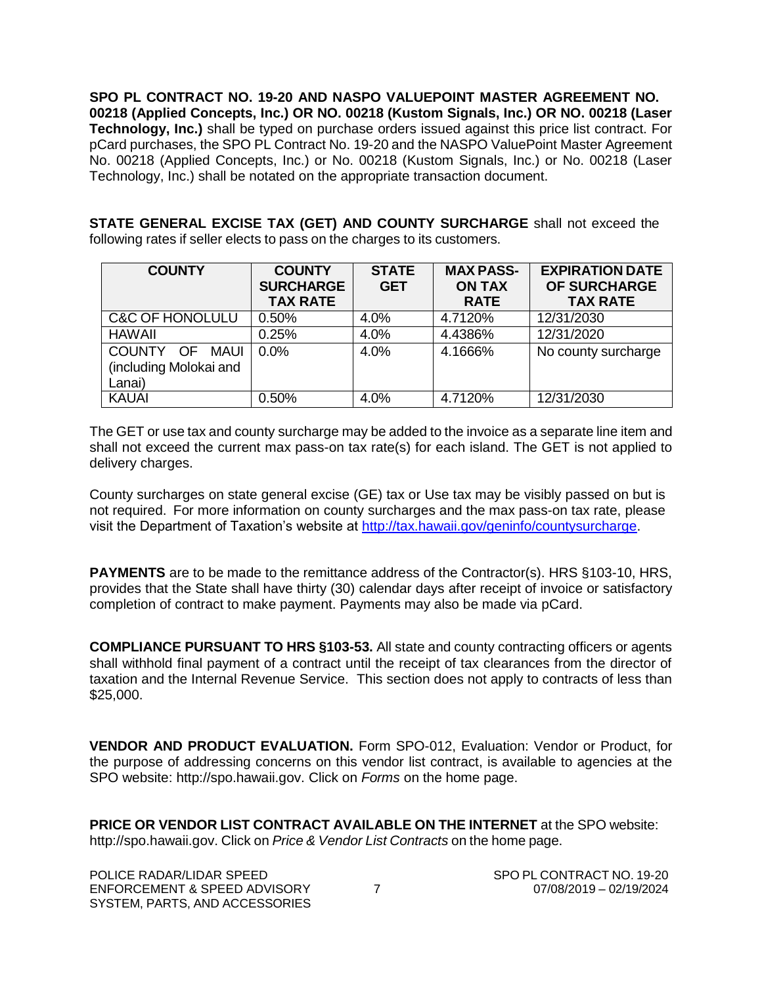**SPO PL CONTRACT NO. 19-20 AND NASPO VALUEPOINT MASTER AGREEMENT NO. 00218 (Applied Concepts, Inc.) OR NO. 00218 (Kustom Signals, Inc.) OR NO. 00218 (Laser Technology, Inc.)** shall be typed on purchase orders issued against this price list contract. For pCard purchases, the SPO PL Contract No. 19-20 and the NASPO ValuePoint Master Agreement No. 00218 (Applied Concepts, Inc.) or No. 00218 (Kustom Signals, Inc.) or No. 00218 (Laser Technology, Inc.) shall be notated on the appropriate transaction document.

**STATE GENERAL EXCISE TAX (GET) AND COUNTY SURCHARGE** shall not exceed the following rates if seller elects to pass on the charges to its customers.

| <b>COUNTY</b>                                                | <b>COUNTY</b><br><b>SURCHARGE</b><br><b>TAX RATE</b> | <b>STATE</b><br><b>GET</b> | <b>MAX PASS-</b><br><b>ON TAX</b><br><b>RATE</b> | <b>EXPIRATION DATE</b><br>OF SURCHARGE<br><b>TAX RATE</b> |
|--------------------------------------------------------------|------------------------------------------------------|----------------------------|--------------------------------------------------|-----------------------------------------------------------|
| <b>C&amp;C OF HONOLULU</b>                                   | 0.50%                                                | 4.0%                       | 4.7120%                                          | 12/31/2030                                                |
| <b>HAWAII</b>                                                | 0.25%                                                | 4.0%                       | 4.4386%                                          | 12/31/2020                                                |
| COUNTY OF<br><b>MAUI</b><br>(including Molokai and<br>Lanai) | $0.0\%$                                              | 4.0%                       | 4.1666%                                          | No county surcharge                                       |
| <b>KAUAI</b>                                                 | 0.50%                                                | 4.0%                       | 4.7120%                                          | 12/31/2030                                                |

The GET or use tax and county surcharge may be added to the invoice as a separate line item and shall not exceed the current max pass-on tax rate(s) for each island. The GET is not applied to delivery charges.

County surcharges on state general excise (GE) tax or Use tax may be visibly passed on but is not required. For more information on county surcharges and the max pass-on tax rate, please visit the Department of Taxation's website at [http://tax.hawaii.gov/geninfo/countysurcharge.](http://tax.hawaii.gov/geninfo/countysurcharge)

**PAYMENTS** are to be made to the remittance address of the Contractor(s). HRS §103-10, HRS, provides that the State shall have thirty (30) calendar days after receipt of invoice or satisfactory completion of contract to make payment. Payments may also be made via pCard.

**COMPLIANCE PURSUANT TO HRS §103-53.** All state and county contracting officers or agents shall withhold final payment of a contract until the receipt of tax clearances from the director of taxation and the Internal Revenue Service. This section does not apply to contracts of less than \$25,000.

**VENDOR AND PRODUCT EVALUATION.** Form SPO-012, Evaluation: Vendor or Product, for the purpose of addressing concerns on this vendor list contract, is available to agencies at the SPO website: [http://spo.hawaii.gov. C](http://spo.hawaii.gov/)lick on *Forms* on the home page.

**PRICE OR VENDOR LIST CONTRACT AVAILABLE ON THE INTERNET** at the SPO website: [http://spo.hawaii.gov.](http://spo.hawaii.gov/) Click on *Price & Vendor List Contracts* on the home page.

POLICE RADAR/LIDAR SPEED ENFORCEMENT & SPEED ADVISORY SYSTEM, PARTS, AND ACCESSORIES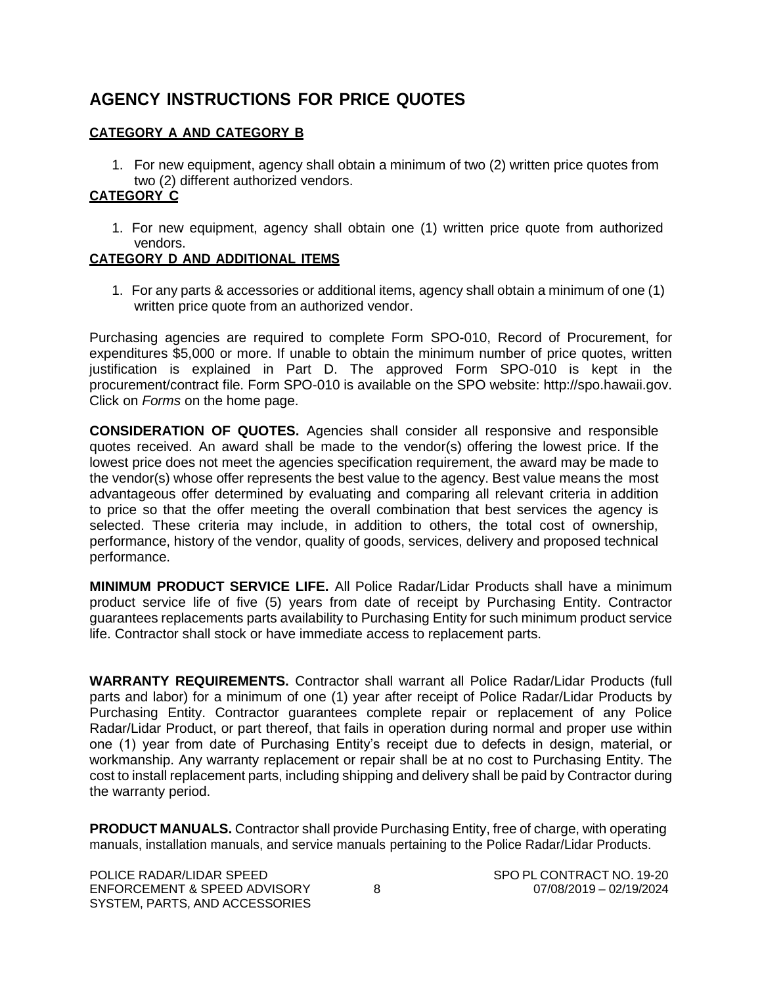### **AGENCY INSTRUCTIONS FOR PRICE QUOTES**

#### **CATEGORY A AND CATEGORY B**

1. For new equipment, agency shall obtain a minimum of two (2) written price quotes from two (2) different authorized vendors.

#### **CATEGORY C**

1. For new equipment, agency shall obtain one (1) written price quote from authorized vendors.

#### **CATEGORY D AND ADDITIONAL ITEMS**

1. For any parts & accessories or additional items, agency shall obtain a minimum of one (1) written price quote from an authorized vendor.

Purchasing agencies are required to complete Form SPO-010, Record of Procurement, for expenditures \$5,000 or more. If unable to obtain the minimum number of price quotes, written justification is explained in Part D. The approved Form SPO-010 is kept in the procurement/contract file. Form SPO-010 is available on the SPO website: [http://spo.hawaii.gov.](http://spo.hawaii.gov/) Click on *Forms* on the home page.

**CONSIDERATION OF QUOTES.** Agencies shall consider all responsive and responsible quotes received. An award shall be made to the vendor(s) offering the lowest price. If the lowest price does not meet the agencies specification requirement, the award may be made to the vendor(s) whose offer represents the best value to the agency. Best value means the most advantageous offer determined by evaluating and comparing all relevant criteria in addition to price so that the offer meeting the overall combination that best services the agency is selected. These criteria may include, in addition to others, the total cost of ownership, performance, history of the vendor, quality of goods, services, delivery and proposed technical performance.

**MINIMUM PRODUCT SERVICE LIFE.** All Police Radar/Lidar Products shall have a minimum product service life of five (5) years from date of receipt by Purchasing Entity. Contractor guarantees replacements parts availability to Purchasing Entity for such minimum product service life. Contractor shall stock or have immediate access to replacement parts.

**WARRANTY REQUIREMENTS.** Contractor shall warrant all Police Radar/Lidar Products (full parts and labor) for a minimum of one (1) year after receipt of Police Radar/Lidar Products by Purchasing Entity. Contractor guarantees complete repair or replacement of any Police Radar/Lidar Product, or part thereof, that fails in operation during normal and proper use within one (1) year from date of Purchasing Entity's receipt due to defects in design, material, or workmanship. Any warranty replacement or repair shall be at no cost to Purchasing Entity. The cost to install replacement parts, including shipping and delivery shall be paid by Contractor during the warranty period.

**PRODUCT MANUALS.** Contractor shall provide Purchasing Entity, free of charge, with operating manuals, installation manuals, and service manuals pertaining to the Police Radar/Lidar Products.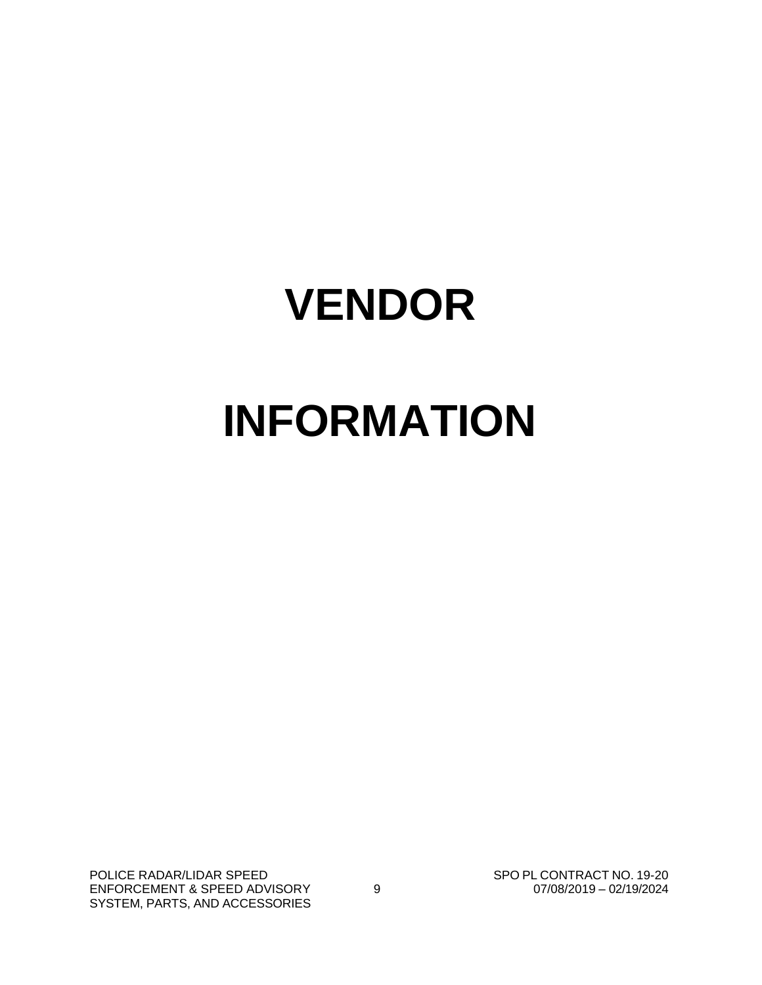# **VENDOR INFORMATION**

POLICE RADAR/LIDAR SPEED ENFORCEMENT & SPEED ADVISORY SYSTEM, PARTS, AND ACCESSORIES

SPO PL CONTRACT NO. 19-20 9 07/08/2019 – 02/19/2024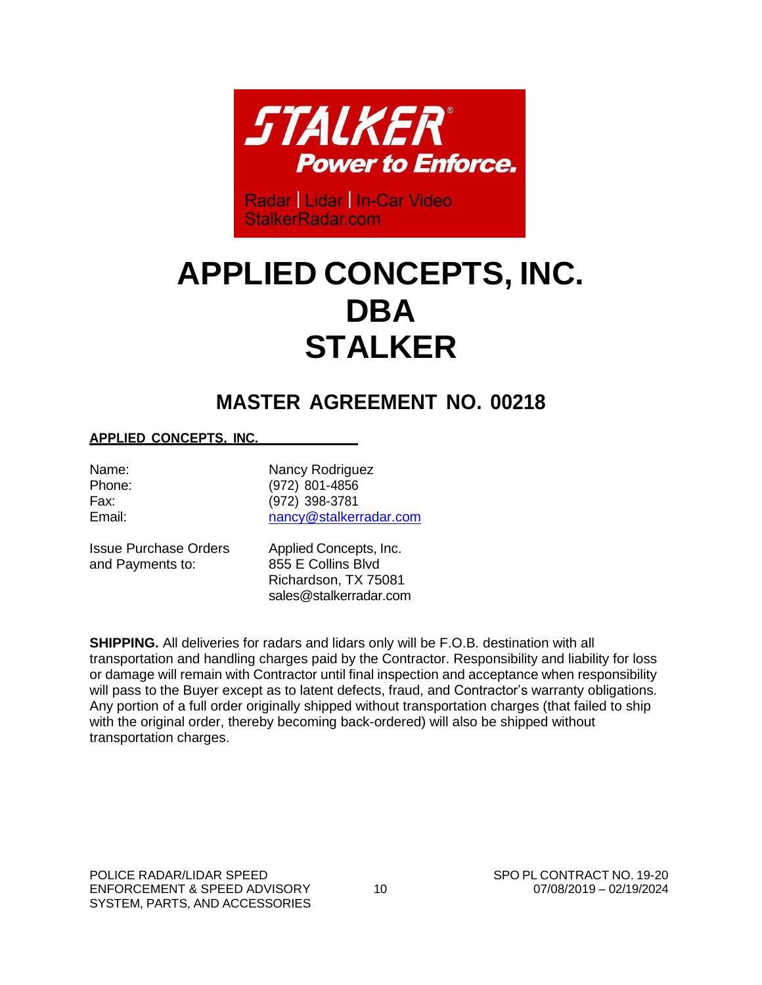

Radar | Lidar | In-Car Video StalkerRadar.com

# **APPLIED CONCEPTS, INC. DBA STALKER**

# **MASTER AGREEMENT NO. 00218**

#### **APPLIED CONCEPTS, INC.**

Name: Nancy Rodriguez Phone: (972) 801-4856 Fax: (972) 398-3781 Email: [nancy@stalkerradar.com](mailto:nancy@stalkerradar.com)

and Payments to: 855 E Collins Blvd

Issue Purchase Orders Applied Concepts, Inc. Richardson, TX 75081 [sales@stalkerradar.com](mailto:sales@stalkerradar.com)

**SHIPPING.** All deliveries for radars and lidars only will be F.O.B. destination with all transportation and handling charges paid by the Contractor. Responsibility and liability for loss or damage will remain with Contractor until final inspection and acceptance when responsibility will pass to the Buyer except as to latent defects, fraud, and Contractor's warranty obligations. Any portion of a full order originally shipped without transportation charges (that failed to ship with the original order, thereby becoming back-ordered) will also be shipped without transportation charges.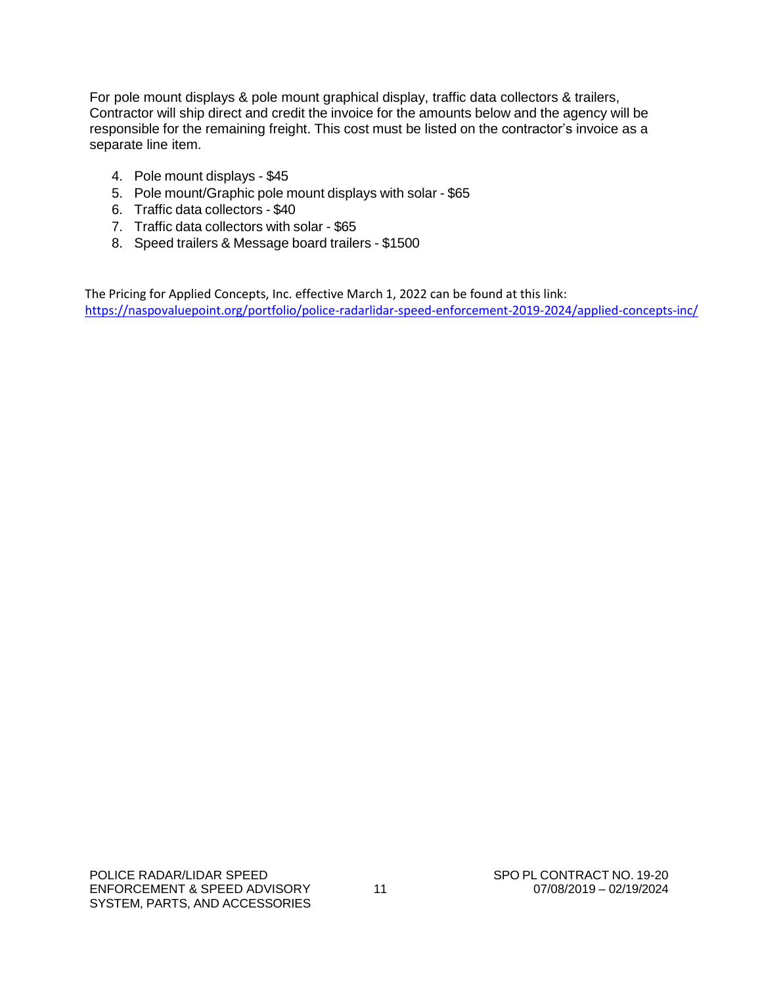For pole mount displays & pole mount graphical display, traffic data collectors & trailers, Contractor will ship direct and credit the invoice for the amounts below and the agency will be responsible for the remaining freight. This cost must be listed on the contractor's invoice as a separate line item.

- 4. Pole mount displays \$45
- 5. Pole mount/Graphic pole mount displays with solar \$65
- 6. Traffic data collectors \$40
- 7. Traffic data collectors with solar \$65
- 8. Speed trailers & Message board trailers \$1500

The Pricing for Applied Concepts, Inc. effective March 1, 2022 can be found at this link: <https://naspovaluepoint.org/portfolio/police-radarlidar-speed-enforcement-2019-2024/applied-concepts-inc/>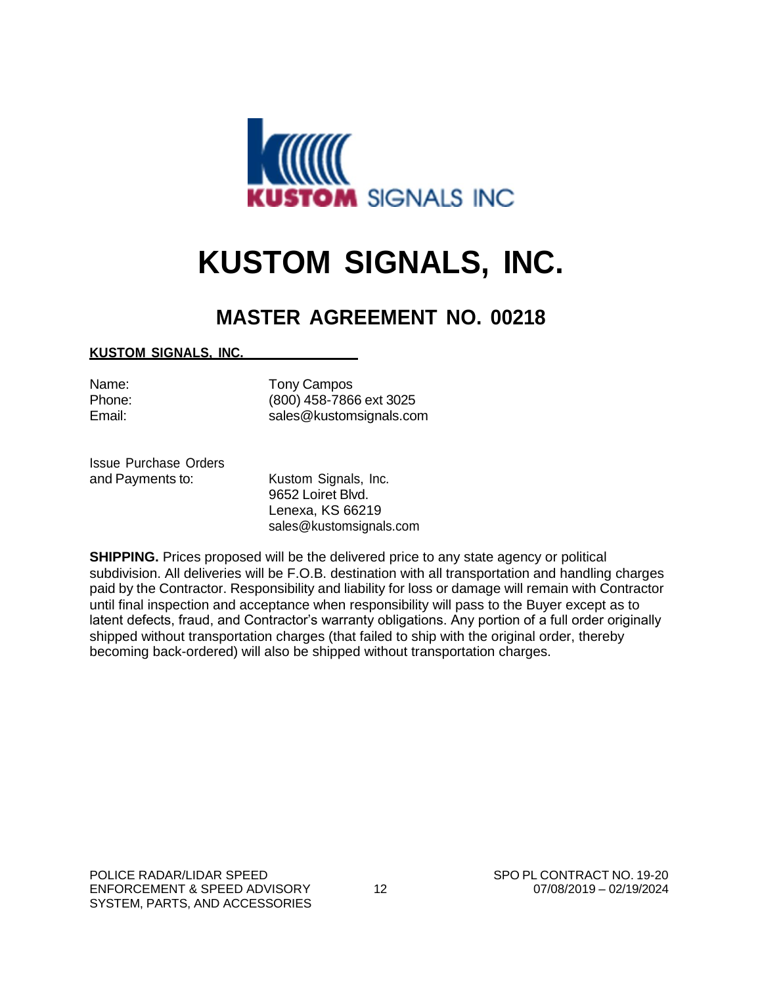

# **KUSTOM SIGNALS, INC.**

## **MASTER AGREEMENT NO. 00218**

#### **KUSTOM SIGNALS, INC.**

Name: Tony Campos Phone: (800) 458-7866 ext 3025 Email: [sales@kustomsignals.com](mailto:sales@kustomsignals.com)

Issue Purchase Orders and Payments to: Kustom Signals, Inc.

9652 Loiret Blvd. Lenexa, KS 66219 [sales@kustomsignals.com](mailto:sales@kustomsignals.com)

**SHIPPING.** Prices proposed will be the delivered price to any state agency or political subdivision. All deliveries will be F.O.B. destination with all transportation and handling charges paid by the Contractor. Responsibility and liability for loss or damage will remain with Contractor until final inspection and acceptance when responsibility will pass to the Buyer except as to latent defects, fraud, and Contractor's warranty obligations. Any portion of a full order originally shipped without transportation charges (that failed to ship with the original order, thereby becoming back-ordered) will also be shipped without transportation charges.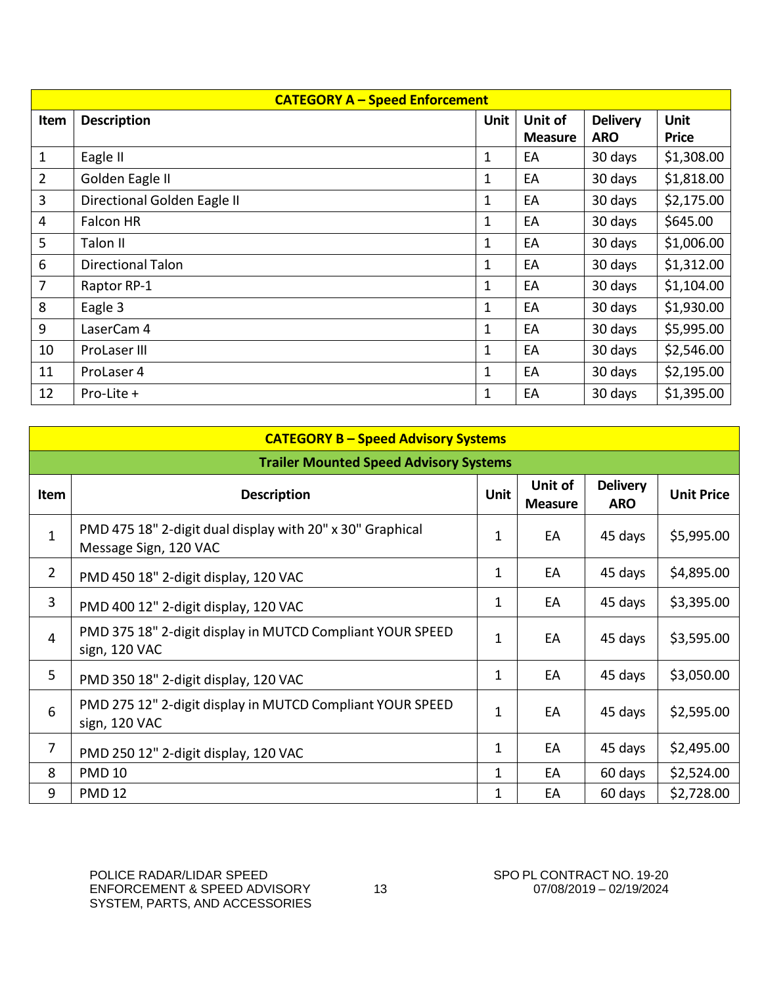|                | <b>CATEGORY A - Speed Enforcement</b> |              |                |                 |              |  |  |  |
|----------------|---------------------------------------|--------------|----------------|-----------------|--------------|--|--|--|
| Item           | <b>Description</b>                    | Unit         | Unit of        | <b>Delivery</b> | <b>Unit</b>  |  |  |  |
|                |                                       |              | <b>Measure</b> | <b>ARO</b>      | <b>Price</b> |  |  |  |
| $\mathbf{1}$   | Eagle II                              | 1            | EA             | 30 days         | \$1,308.00   |  |  |  |
| $\overline{2}$ | Golden Eagle II                       | 1            | EA             | 30 days         | \$1,818.00   |  |  |  |
| 3              | Directional Golden Eagle II           | 1            | EA             | 30 days         | \$2,175.00   |  |  |  |
| $\overline{4}$ | Falcon HR                             | 1            | EA             | 30 days         | \$645.00     |  |  |  |
| 5              | Talon II                              | 1            | EA             | 30 days         | \$1,006.00   |  |  |  |
| 6              | <b>Directional Talon</b>              | $\mathbf{1}$ | EA             | 30 days         | \$1,312.00   |  |  |  |
| $\overline{7}$ | Raptor RP-1                           | 1            | EA             | 30 days         | \$1,104.00   |  |  |  |
| 8              | Eagle 3                               | 1            | EA             | 30 days         | \$1,930.00   |  |  |  |
| 9              | LaserCam 4                            | 1            | EA             | 30 days         | \$5,995.00   |  |  |  |
| 10             | ProLaser III                          | 1            | EA             | 30 days         | \$2,546.00   |  |  |  |
| 11             | ProLaser 4                            | 1            | EA             | 30 days         | \$2,195.00   |  |  |  |
| 12             | Pro-Lite +                            | 1            | EA             | 30 days         | \$1,395.00   |  |  |  |

|                | <b>CATEGORY B - Speed Advisory Systems</b>                                         |             |                           |                               |                   |  |  |  |  |
|----------------|------------------------------------------------------------------------------------|-------------|---------------------------|-------------------------------|-------------------|--|--|--|--|
|                | <b>Trailer Mounted Speed Advisory Systems</b>                                      |             |                           |                               |                   |  |  |  |  |
| Item           | <b>Description</b>                                                                 | <b>Unit</b> | Unit of<br><b>Measure</b> | <b>Delivery</b><br><b>ARO</b> | <b>Unit Price</b> |  |  |  |  |
| $\mathbf{1}$   | PMD 475 18" 2-digit dual display with 20" x 30" Graphical<br>Message Sign, 120 VAC | 1           | EA                        | 45 days                       | \$5,995.00        |  |  |  |  |
| $\overline{2}$ | PMD 450 18" 2-digit display, 120 VAC                                               | 1           | EA                        | 45 days                       | \$4,895.00        |  |  |  |  |
| 3              | PMD 400 12" 2-digit display, 120 VAC                                               | 1           | EA                        | 45 days                       | \$3,395.00        |  |  |  |  |
| 4              | PMD 375 18" 2-digit display in MUTCD Compliant YOUR SPEED<br>sign, 120 VAC         | 1           | EA                        | 45 days                       | \$3,595.00        |  |  |  |  |
| 5              | PMD 350 18" 2-digit display, 120 VAC                                               | 1           | EA                        | 45 days                       | \$3,050.00        |  |  |  |  |
| 6              | PMD 275 12" 2-digit display in MUTCD Compliant YOUR SPEED<br>sign, 120 VAC         | 1           | EA                        | 45 days                       | \$2,595.00        |  |  |  |  |
| $\overline{7}$ | PMD 250 12" 2-digit display, 120 VAC                                               | 1           | EA                        | 45 days                       | \$2,495.00        |  |  |  |  |
| 8              | <b>PMD 10</b>                                                                      | 1           | EA                        | 60 days                       | \$2,524.00        |  |  |  |  |
| 9              | <b>PMD 12</b>                                                                      | 1           | EA                        | 60 days                       | \$2,728.00        |  |  |  |  |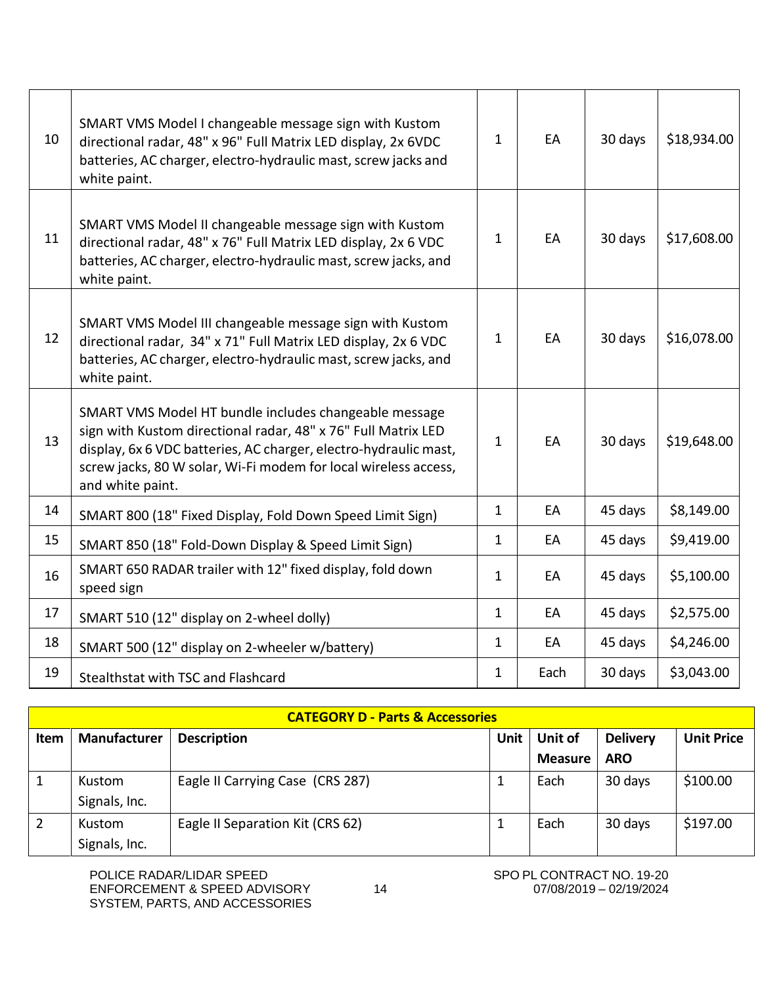| 10 | SMART VMS Model I changeable message sign with Kustom<br>directional radar, 48" x 96" Full Matrix LED display, 2x 6VDC<br>batteries, AC charger, electro-hydraulic mast, screw jacks and<br>white paint.                                                                          | $\mathbf{1}$ | EA   | 30 days | \$18,934.00 |
|----|-----------------------------------------------------------------------------------------------------------------------------------------------------------------------------------------------------------------------------------------------------------------------------------|--------------|------|---------|-------------|
| 11 | SMART VMS Model II changeable message sign with Kustom<br>directional radar, 48" x 76" Full Matrix LED display, 2x 6 VDC<br>batteries, AC charger, electro-hydraulic mast, screw jacks, and<br>white paint.                                                                       | $\mathbf{1}$ | EA   | 30 days | \$17,608.00 |
| 12 | SMART VMS Model III changeable message sign with Kustom<br>directional radar, 34" x 71" Full Matrix LED display, 2x 6 VDC<br>batteries, AC charger, electro-hydraulic mast, screw jacks, and<br>white paint.                                                                      | $\mathbf{1}$ | EA   | 30 days | \$16,078.00 |
| 13 | SMART VMS Model HT bundle includes changeable message<br>sign with Kustom directional radar, 48" x 76" Full Matrix LED<br>display, 6x 6 VDC batteries, AC charger, electro-hydraulic mast,<br>screw jacks, 80 W solar, Wi-Fi modem for local wireless access,<br>and white paint. | $\mathbf{1}$ | EA   | 30 days | \$19,648.00 |
| 14 | SMART 800 (18" Fixed Display, Fold Down Speed Limit Sign)                                                                                                                                                                                                                         | $\mathbf{1}$ | EA   | 45 days | \$8,149.00  |
| 15 | SMART 850 (18" Fold-Down Display & Speed Limit Sign)                                                                                                                                                                                                                              | $\mathbf{1}$ | EA   | 45 days | \$9,419.00  |
| 16 | SMART 650 RADAR trailer with 12" fixed display, fold down<br>speed sign                                                                                                                                                                                                           | $\mathbf{1}$ | EA   | 45 days | \$5,100.00  |
| 17 | SMART 510 (12" display on 2-wheel dolly)                                                                                                                                                                                                                                          | $\mathbf{1}$ | EA   | 45 days | \$2,575.00  |
| 18 | SMART 500 (12" display on 2-wheeler w/battery)                                                                                                                                                                                                                                    | $\mathbf{1}$ | EA   | 45 days | \$4,246.00  |
| 19 | Stealthstat with TSC and Flashcard                                                                                                                                                                                                                                                | $\mathbf{1}$ | Each | 30 days | \$3,043.00  |

|             | <b>CATEGORY D - Parts &amp; Accessories</b> |                                  |             |                           |                               |                   |  |  |
|-------------|---------------------------------------------|----------------------------------|-------------|---------------------------|-------------------------------|-------------------|--|--|
| <b>Item</b> | <b>Manufacturer</b>                         | <b>Description</b>               | <b>Unit</b> | Unit of<br><b>Measure</b> | <b>Delivery</b><br><b>ARO</b> | <b>Unit Price</b> |  |  |
|             |                                             |                                  |             |                           |                               |                   |  |  |
| 1           | Kustom                                      | Eagle II Carrying Case (CRS 287) |             | Each                      | 30 days                       | \$100.00          |  |  |
|             | Signals, Inc.                               |                                  |             |                           |                               |                   |  |  |
| 2           | Kustom                                      | Eagle II Separation Kit (CRS 62) |             | Each                      | 30 days                       | \$197.00          |  |  |
|             | Signals, Inc.                               |                                  |             |                           |                               |                   |  |  |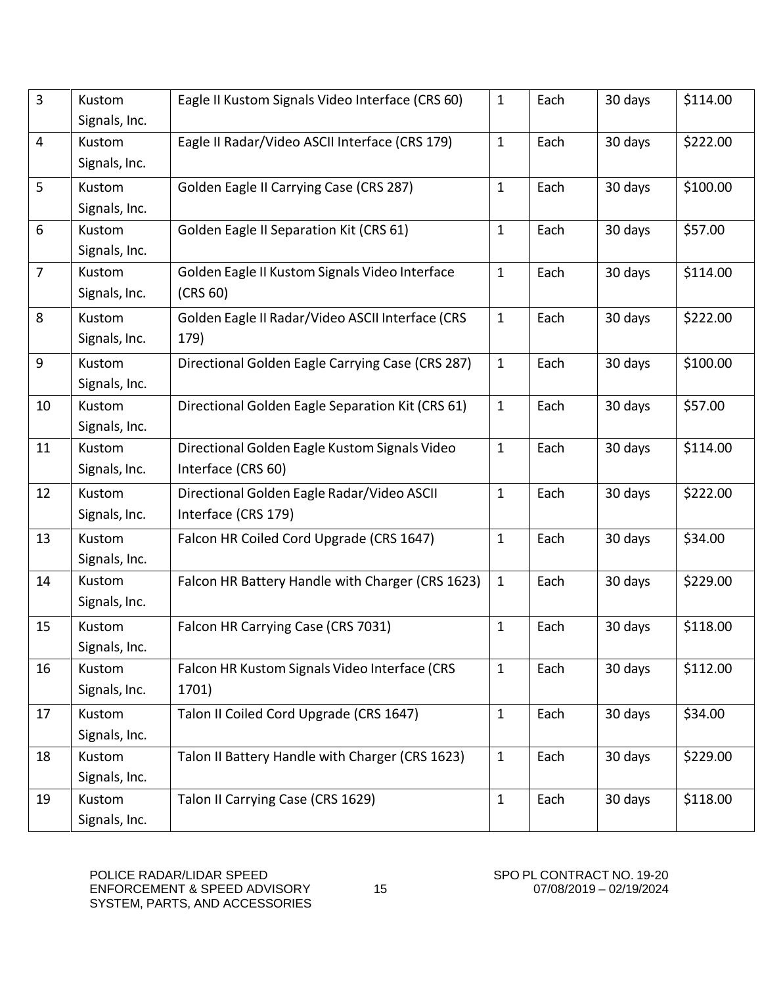| $\overline{3}$ | Kustom<br>Signals, Inc. | Eagle II Kustom Signals Video Interface (CRS 60)                    | $\mathbf{1}$ | Each | 30 days | \$114.00 |
|----------------|-------------------------|---------------------------------------------------------------------|--------------|------|---------|----------|
| $\overline{4}$ | Kustom<br>Signals, Inc. | Eagle II Radar/Video ASCII Interface (CRS 179)                      | $\mathbf{1}$ | Each | 30 days | \$222.00 |
| 5              | Kustom<br>Signals, Inc. | Golden Eagle II Carrying Case (CRS 287)                             | $\mathbf{1}$ | Each | 30 days | \$100.00 |
| 6              | Kustom<br>Signals, Inc. | Golden Eagle II Separation Kit (CRS 61)                             | $\mathbf{1}$ | Each | 30 days | \$57.00  |
| $\overline{7}$ | Kustom<br>Signals, Inc. | Golden Eagle II Kustom Signals Video Interface<br>(CRS 60)          | $\mathbf{1}$ | Each | 30 days | \$114.00 |
| 8              | Kustom<br>Signals, Inc. | Golden Eagle II Radar/Video ASCII Interface (CRS<br>179)            | $\mathbf{1}$ | Each | 30 days | \$222.00 |
| 9              | Kustom<br>Signals, Inc. | Directional Golden Eagle Carrying Case (CRS 287)                    | $\mathbf{1}$ | Each | 30 days | \$100.00 |
| 10             | Kustom<br>Signals, Inc. | Directional Golden Eagle Separation Kit (CRS 61)                    | $1\,$        | Each | 30 days | \$57.00  |
| 11             | Kustom<br>Signals, Inc. | Directional Golden Eagle Kustom Signals Video<br>Interface (CRS 60) | $\mathbf{1}$ | Each | 30 days | \$114.00 |
| 12             | Kustom<br>Signals, Inc. | Directional Golden Eagle Radar/Video ASCII<br>Interface (CRS 179)   | $\mathbf{1}$ | Each | 30 days | \$222.00 |
| 13             | Kustom<br>Signals, Inc. | Falcon HR Coiled Cord Upgrade (CRS 1647)                            | $\mathbf{1}$ | Each | 30 days | \$34.00  |
| 14             | Kustom<br>Signals, Inc. | Falcon HR Battery Handle with Charger (CRS 1623)                    | $\mathbf{1}$ | Each | 30 days | \$229.00 |
| 15             | Kustom<br>Signals, Inc. | Falcon HR Carrying Case (CRS 7031)                                  | $\mathbf{1}$ | Each | 30 days | \$118.00 |
| 16             | Kustom<br>Signals, Inc. | Falcon HR Kustom Signals Video Interface (CRS<br>1701)              | $\mathbf{1}$ | Each | 30 days | \$112.00 |
| 17             | Kustom<br>Signals, Inc. | Talon II Coiled Cord Upgrade (CRS 1647)                             | $\mathbf{1}$ | Each | 30 days | \$34.00  |
| 18             | Kustom<br>Signals, Inc. | Talon II Battery Handle with Charger (CRS 1623)                     | $\mathbf{1}$ | Each | 30 days | \$229.00 |
| 19             | Kustom<br>Signals, Inc. | Talon II Carrying Case (CRS 1629)                                   | $\mathbf{1}$ | Each | 30 days | \$118.00 |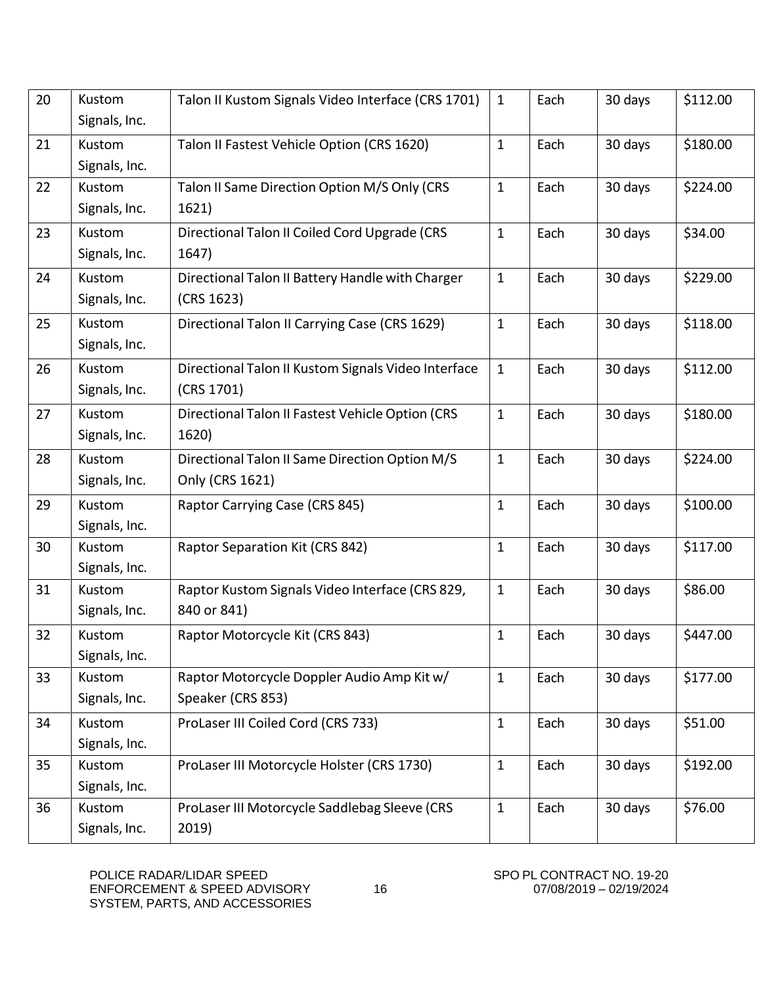| 20 | Kustom<br>Signals, Inc. | Talon II Kustom Signals Video Interface (CRS 1701)                | $\mathbf{1}$ | Each | 30 days | \$112.00 |
|----|-------------------------|-------------------------------------------------------------------|--------------|------|---------|----------|
| 21 | Kustom<br>Signals, Inc. | Talon II Fastest Vehicle Option (CRS 1620)                        | $\mathbf{1}$ | Each | 30 days | \$180.00 |
| 22 | Kustom<br>Signals, Inc. | Talon II Same Direction Option M/S Only (CRS<br>1621)             | $\mathbf{1}$ | Each | 30 days | \$224.00 |
| 23 | Kustom<br>Signals, Inc. | Directional Talon II Coiled Cord Upgrade (CRS<br>1647)            | $\mathbf{1}$ | Each | 30 days | \$34.00  |
| 24 | Kustom<br>Signals, Inc. | Directional Talon II Battery Handle with Charger<br>(CRS 1623)    | $\mathbf{1}$ | Each | 30 days | \$229.00 |
| 25 | Kustom<br>Signals, Inc. | Directional Talon II Carrying Case (CRS 1629)                     | $\mathbf{1}$ | Each | 30 days | \$118.00 |
| 26 | Kustom<br>Signals, Inc. | Directional Talon II Kustom Signals Video Interface<br>(CRS 1701) | $\mathbf{1}$ | Each | 30 days | \$112.00 |
| 27 | Kustom<br>Signals, Inc. | Directional Talon II Fastest Vehicle Option (CRS<br>1620)         | $\mathbf{1}$ | Each | 30 days | \$180.00 |
| 28 | Kustom<br>Signals, Inc. | Directional Talon II Same Direction Option M/S<br>Only (CRS 1621) | $\mathbf{1}$ | Each | 30 days | \$224.00 |
| 29 | Kustom<br>Signals, Inc. | Raptor Carrying Case (CRS 845)                                    | $\mathbf{1}$ | Each | 30 days | \$100.00 |
| 30 | Kustom<br>Signals, Inc. | Raptor Separation Kit (CRS 842)                                   | $\mathbf{1}$ | Each | 30 days | \$117.00 |
| 31 | Kustom<br>Signals, Inc. | Raptor Kustom Signals Video Interface (CRS 829,<br>840 or 841)    | $\mathbf{1}$ | Each | 30 days | \$86.00  |
| 32 | Kustom<br>Signals, Inc. | Raptor Motorcycle Kit (CRS 843)                                   | $\mathbf{1}$ | Each | 30 days | \$447.00 |
| 33 | Kustom<br>Signals, Inc. | Raptor Motorcycle Doppler Audio Amp Kit w/<br>Speaker (CRS 853)   | $\mathbf{1}$ | Each | 30 days | \$177.00 |
| 34 | Kustom<br>Signals, Inc. | ProLaser III Coiled Cord (CRS 733)                                | $\mathbf{1}$ | Each | 30 days | \$51.00  |
| 35 | Kustom<br>Signals, Inc. | ProLaser III Motorcycle Holster (CRS 1730)                        | $\mathbf{1}$ | Each | 30 days | \$192.00 |
| 36 | Kustom<br>Signals, Inc. | ProLaser III Motorcycle Saddlebag Sleeve (CRS<br>2019)            | $\mathbf{1}$ | Each | 30 days | \$76.00  |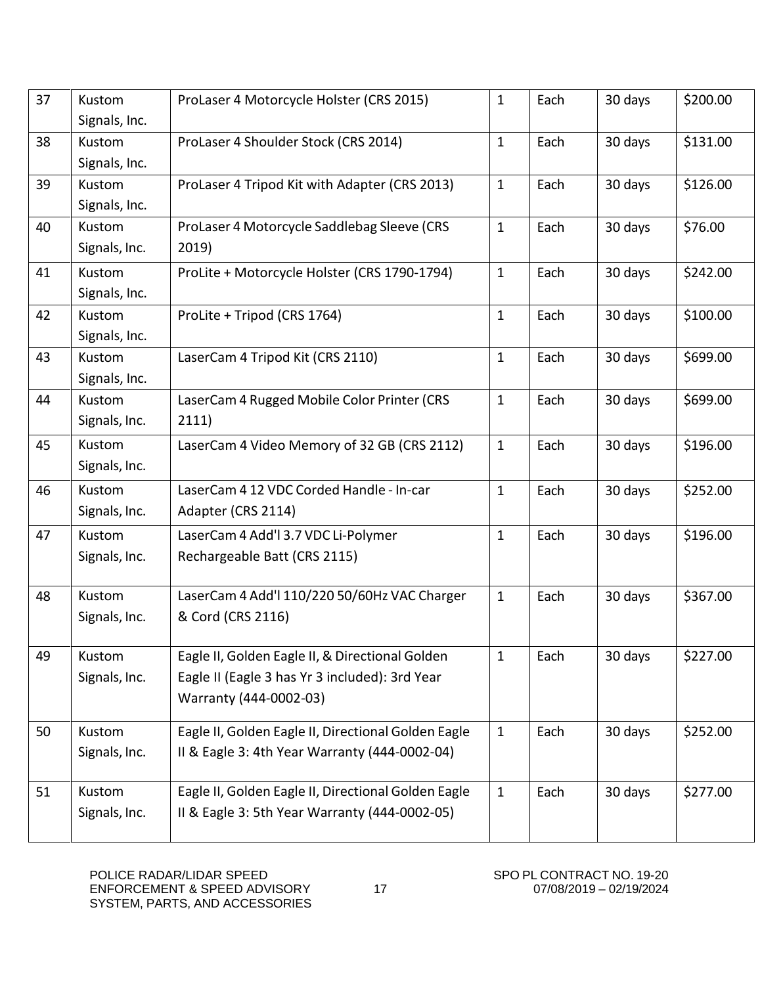| 37 | Kustom<br>Signals, Inc. | ProLaser 4 Motorcycle Holster (CRS 2015)                                                                                    | $\mathbf{1}$ | Each | 30 days | \$200.00 |
|----|-------------------------|-----------------------------------------------------------------------------------------------------------------------------|--------------|------|---------|----------|
| 38 | Kustom<br>Signals, Inc. | ProLaser 4 Shoulder Stock (CRS 2014)                                                                                        | $\mathbf{1}$ | Each | 30 days | \$131.00 |
| 39 | Kustom<br>Signals, Inc. | ProLaser 4 Tripod Kit with Adapter (CRS 2013)                                                                               | $\mathbf{1}$ | Each | 30 days | \$126.00 |
| 40 | Kustom<br>Signals, Inc. | ProLaser 4 Motorcycle Saddlebag Sleeve (CRS<br>2019)                                                                        | $\mathbf{1}$ | Each | 30 days | \$76.00  |
| 41 | Kustom<br>Signals, Inc. | ProLite + Motorcycle Holster (CRS 1790-1794)                                                                                | $\mathbf{1}$ | Each | 30 days | \$242.00 |
| 42 | Kustom<br>Signals, Inc. | ProLite + Tripod (CRS 1764)                                                                                                 | $\mathbf{1}$ | Each | 30 days | \$100.00 |
| 43 | Kustom<br>Signals, Inc. | LaserCam 4 Tripod Kit (CRS 2110)                                                                                            | $\mathbf{1}$ | Each | 30 days | \$699.00 |
| 44 | Kustom<br>Signals, Inc. | LaserCam 4 Rugged Mobile Color Printer (CRS<br>2111)                                                                        | $\mathbf{1}$ | Each | 30 days | \$699.00 |
| 45 | Kustom<br>Signals, Inc. | LaserCam 4 Video Memory of 32 GB (CRS 2112)                                                                                 | $\mathbf{1}$ | Each | 30 days | \$196.00 |
| 46 | Kustom<br>Signals, Inc. | LaserCam 4 12 VDC Corded Handle - In-car<br>Adapter (CRS 2114)                                                              | $\mathbf{1}$ | Each | 30 days | \$252.00 |
| 47 | Kustom<br>Signals, Inc. | LaserCam 4 Add'l 3.7 VDC Li-Polymer<br>Rechargeable Batt (CRS 2115)                                                         | $\mathbf{1}$ | Each | 30 days | \$196.00 |
| 48 | Kustom<br>Signals, Inc. | LaserCam 4 Add'l 110/220 50/60Hz VAC Charger<br>& Cord (CRS 2116)                                                           | $\mathbf{1}$ | Each | 30 days | \$367.00 |
| 49 | Kustom<br>Signals, Inc. | Eagle II, Golden Eagle II, & Directional Golden<br>Eagle II (Eagle 3 has Yr 3 included): 3rd Year<br>Warranty (444-0002-03) | 1            | Each | 30 days | \$227.00 |
| 50 | Kustom<br>Signals, Inc. | Eagle II, Golden Eagle II, Directional Golden Eagle<br>II & Eagle 3: 4th Year Warranty (444-0002-04)                        | $\mathbf{1}$ | Each | 30 days | \$252.00 |
| 51 | Kustom<br>Signals, Inc. | Eagle II, Golden Eagle II, Directional Golden Eagle<br>II & Eagle 3: 5th Year Warranty (444-0002-05)                        | $\mathbf{1}$ | Each | 30 days | \$277.00 |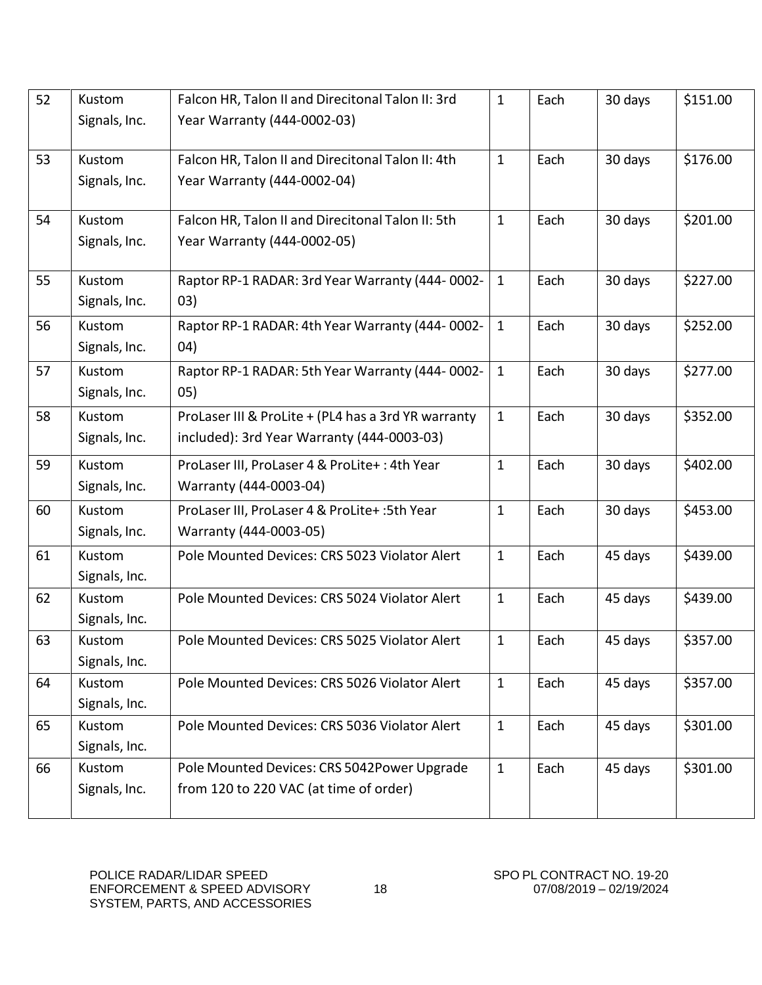| 52 | Kustom        | Falcon HR, Talon II and Direcitonal Talon II: 3rd   | $\mathbf{1}$ | Each | 30 days | \$151.00 |
|----|---------------|-----------------------------------------------------|--------------|------|---------|----------|
|    | Signals, Inc. | Year Warranty (444-0002-03)                         |              |      |         |          |
| 53 | <b>Kustom</b> | Falcon HR, Talon II and Direcitonal Talon II: 4th   | $\mathbf{1}$ | Each |         | \$176.00 |
|    |               |                                                     |              |      | 30 days |          |
|    | Signals, Inc. | Year Warranty (444-0002-04)                         |              |      |         |          |
| 54 | Kustom        | Falcon HR, Talon II and Direcitonal Talon II: 5th   | $\mathbf{1}$ | Each | 30 days | \$201.00 |
|    | Signals, Inc. | Year Warranty (444-0002-05)                         |              |      |         |          |
|    |               |                                                     |              |      |         |          |
| 55 | Kustom        | Raptor RP-1 RADAR: 3rd Year Warranty (444-0002-     | $\mathbf{1}$ | Each | 30 days | \$227.00 |
|    | Signals, Inc. | (03)                                                |              |      |         |          |
| 56 | Kustom        | Raptor RP-1 RADAR: 4th Year Warranty (444-0002-     | $\mathbf{1}$ | Each | 30 days | \$252.00 |
|    | Signals, Inc. | 04)                                                 |              |      |         |          |
| 57 | Kustom        | Raptor RP-1 RADAR: 5th Year Warranty (444-0002-     | $\mathbf{1}$ | Each | 30 days | \$277.00 |
|    | Signals, Inc. | (05)                                                |              |      |         |          |
| 58 | <b>Kustom</b> | ProLaser III & ProLite + (PL4 has a 3rd YR warranty | $\mathbf{1}$ | Each | 30 days | \$352.00 |
|    | Signals, Inc. | included): 3rd Year Warranty (444-0003-03)          |              |      |         |          |
| 59 | Kustom        | ProLaser III, ProLaser 4 & ProLite+: 4th Year       | $\mathbf{1}$ | Each | 30 days | \$402.00 |
|    | Signals, Inc. | Warranty (444-0003-04)                              |              |      |         |          |
| 60 | Kustom        | ProLaser III, ProLaser 4 & ProLite+: 5th Year       | $\mathbf{1}$ | Each | 30 days | \$453.00 |
|    | Signals, Inc. | Warranty (444-0003-05)                              |              |      |         |          |
| 61 | Kustom        | Pole Mounted Devices: CRS 5023 Violator Alert       | $\mathbf{1}$ | Each | 45 days | \$439.00 |
|    | Signals, Inc. |                                                     |              |      |         |          |
| 62 | Kustom        | Pole Mounted Devices: CRS 5024 Violator Alert       | $\mathbf{1}$ | Each | 45 days | \$439.00 |
|    | Signals, Inc. |                                                     |              |      |         |          |
| 63 | Kustom        | Pole Mounted Devices: CRS 5025 Violator Alert       | $\mathbf{1}$ | Each | 45 days | \$357.00 |
|    | Signals, Inc. |                                                     |              |      |         |          |
| 64 | Kustom        | Pole Mounted Devices: CRS 5026 Violator Alert       | $\mathbf{1}$ | Each | 45 days | \$357.00 |
|    | Signals, Inc. |                                                     |              |      |         |          |
| 65 | Kustom        | Pole Mounted Devices: CRS 5036 Violator Alert       | $\mathbf{1}$ | Each | 45 days | \$301.00 |
|    | Signals, Inc. |                                                     |              |      |         |          |
| 66 | Kustom        | Pole Mounted Devices: CRS 5042Power Upgrade         | $\mathbf{1}$ | Each | 45 days | \$301.00 |
|    | Signals, Inc. | from 120 to 220 VAC (at time of order)              |              |      |         |          |
|    |               |                                                     |              |      |         |          |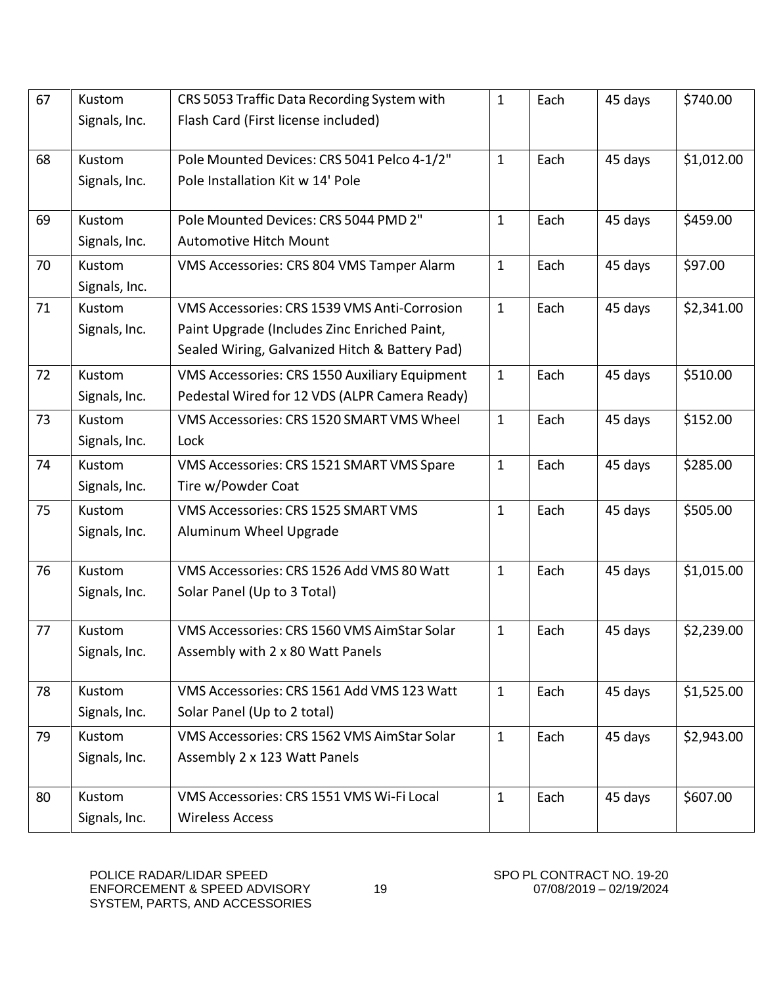| 67 | Kustom        | CRS 5053 Traffic Data Recording System with    | $\mathbf{1}$ | Each | 45 days | \$740.00   |
|----|---------------|------------------------------------------------|--------------|------|---------|------------|
|    | Signals, Inc. | Flash Card (First license included)            |              |      |         |            |
|    |               |                                                |              |      |         |            |
| 68 | Kustom        | Pole Mounted Devices: CRS 5041 Pelco 4-1/2"    | $\mathbf{1}$ | Each | 45 days | \$1,012.00 |
|    | Signals, Inc. | Pole Installation Kit w 14' Pole               |              |      |         |            |
| 69 | Kustom        | Pole Mounted Devices: CRS 5044 PMD 2"          | $\mathbf{1}$ | Each | 45 days | \$459.00   |
|    | Signals, Inc. | <b>Automotive Hitch Mount</b>                  |              |      |         |            |
| 70 | Kustom        | VMS Accessories: CRS 804 VMS Tamper Alarm      | $\mathbf{1}$ | Each | 45 days | \$97.00    |
|    | Signals, Inc. |                                                |              |      |         |            |
| 71 | Kustom        | VMS Accessories: CRS 1539 VMS Anti-Corrosion   | $\mathbf{1}$ | Each | 45 days | \$2,341.00 |
|    | Signals, Inc. | Paint Upgrade (Includes Zinc Enriched Paint,   |              |      |         |            |
|    |               | Sealed Wiring, Galvanized Hitch & Battery Pad) |              |      |         |            |
| 72 | Kustom        | VMS Accessories: CRS 1550 Auxiliary Equipment  | $\mathbf{1}$ | Each | 45 days | \$510.00   |
|    | Signals, Inc. | Pedestal Wired for 12 VDS (ALPR Camera Ready)  |              |      |         |            |
| 73 | Kustom        | VMS Accessories: CRS 1520 SMART VMS Wheel      | $\mathbf{1}$ | Each | 45 days | \$152.00   |
|    | Signals, Inc. | Lock                                           |              |      |         |            |
| 74 | Kustom        | VMS Accessories: CRS 1521 SMART VMS Spare      | $\mathbf{1}$ | Each | 45 days | \$285.00   |
|    | Signals, Inc. | Tire w/Powder Coat                             |              |      |         |            |
| 75 | Kustom        | VMS Accessories: CRS 1525 SMART VMS            | $\mathbf{1}$ | Each | 45 days | \$505.00   |
|    | Signals, Inc. | Aluminum Wheel Upgrade                         |              |      |         |            |
|    |               |                                                |              |      |         |            |
| 76 | Kustom        | VMS Accessories: CRS 1526 Add VMS 80 Watt      | $\mathbf{1}$ | Each | 45 days | \$1,015.00 |
|    | Signals, Inc. | Solar Panel (Up to 3 Total)                    |              |      |         |            |
| 77 | Kustom        | VMS Accessories: CRS 1560 VMS AimStar Solar    | $\mathbf{1}$ | Each | 45 days | \$2,239.00 |
|    | Signals, Inc. | Assembly with 2 x 80 Watt Panels               |              |      |         |            |
|    |               |                                                |              |      |         |            |
| 78 | Kustom        | VMS Accessories: CRS 1561 Add VMS 123 Watt     | $\mathbf{1}$ | Each | 45 days | \$1,525.00 |
|    | Signals, Inc. | Solar Panel (Up to 2 total)                    |              |      |         |            |
| 79 | Kustom        | VMS Accessories: CRS 1562 VMS AimStar Solar    | $\mathbf{1}$ | Each | 45 days | \$2,943.00 |
|    | Signals, Inc. | Assembly 2 x 123 Watt Panels                   |              |      |         |            |
| 80 | Kustom        | VMS Accessories: CRS 1551 VMS Wi-Fi Local      | $\mathbf{1}$ | Each | 45 days | \$607.00   |
|    | Signals, Inc. | <b>Wireless Access</b>                         |              |      |         |            |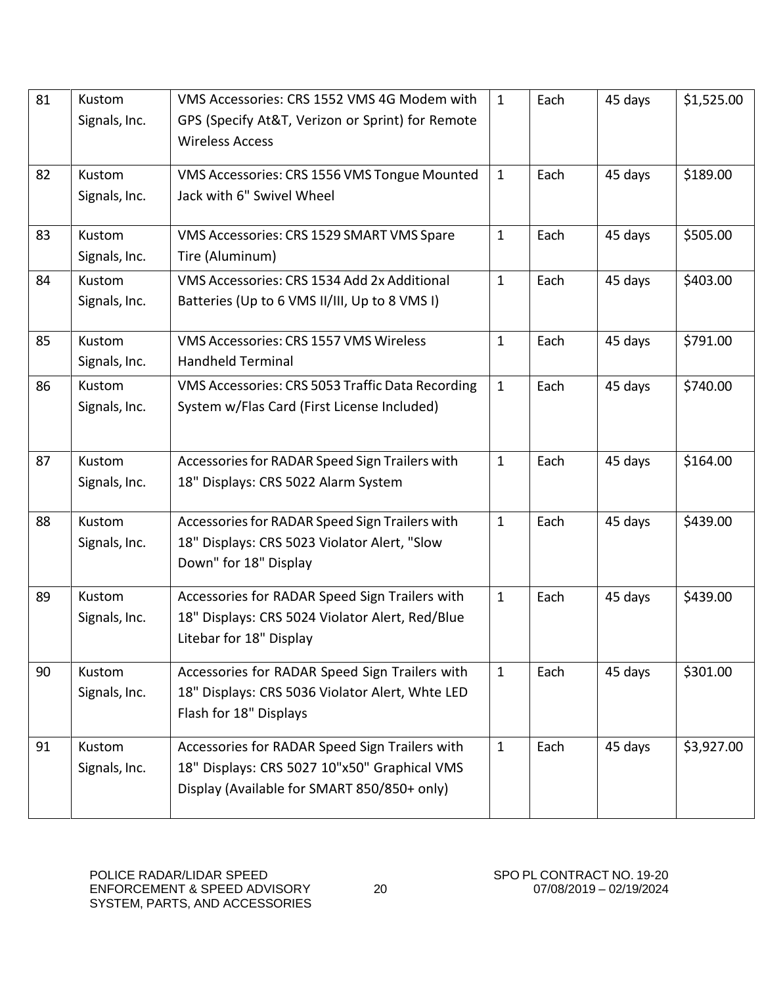| 81 | Kustom<br>Signals, Inc.        | VMS Accessories: CRS 1552 VMS 4G Modem with<br>GPS (Specify At&T, Verizon or Sprint) for Remote<br><b>Wireless Access</b>                     | $\mathbf{1}$ | Each | 45 days | \$1,525.00 |
|----|--------------------------------|-----------------------------------------------------------------------------------------------------------------------------------------------|--------------|------|---------|------------|
| 82 | Kustom<br>Signals, Inc.        | VMS Accessories: CRS 1556 VMS Tongue Mounted<br>Jack with 6" Swivel Wheel                                                                     | $\mathbf{1}$ | Each | 45 days | \$189.00   |
| 83 | Kustom<br>Signals, Inc.        | VMS Accessories: CRS 1529 SMART VMS Spare<br>Tire (Aluminum)                                                                                  | $\mathbf{1}$ | Each | 45 days | \$505.00   |
| 84 | Kustom<br>Signals, Inc.        | VMS Accessories: CRS 1534 Add 2x Additional<br>Batteries (Up to 6 VMS II/III, Up to 8 VMS I)                                                  | $\mathbf{1}$ | Each | 45 days | \$403.00   |
| 85 | <b>Kustom</b><br>Signals, Inc. | VMS Accessories: CRS 1557 VMS Wireless<br><b>Handheld Terminal</b>                                                                            | $\mathbf{1}$ | Each | 45 days | \$791.00   |
| 86 | Kustom<br>Signals, Inc.        | VMS Accessories: CRS 5053 Traffic Data Recording<br>System w/Flas Card (First License Included)                                               | $\mathbf{1}$ | Each | 45 days | \$740.00   |
| 87 | Kustom<br>Signals, Inc.        | Accessories for RADAR Speed Sign Trailers with<br>18" Displays: CRS 5022 Alarm System                                                         | $\mathbf{1}$ | Each | 45 days | \$164.00   |
| 88 | Kustom<br>Signals, Inc.        | Accessories for RADAR Speed Sign Trailers with<br>18" Displays: CRS 5023 Violator Alert, "Slow<br>Down" for 18" Display                       | $\mathbf{1}$ | Each | 45 days | \$439.00   |
| 89 | Kustom<br>Signals, Inc.        | Accessories for RADAR Speed Sign Trailers with<br>18" Displays: CRS 5024 Violator Alert, Red/Blue<br>Litebar for 18" Display                  | $\mathbf{1}$ | Each | 45 days | \$439.00   |
| 90 | Kustom<br>Signals, Inc.        | Accessories for RADAR Speed Sign Trailers with<br>18" Displays: CRS 5036 Violator Alert, Whte LED<br>Flash for 18" Displays                   | $\mathbf{1}$ | Each | 45 days | \$301.00   |
| 91 | Kustom<br>Signals, Inc.        | Accessories for RADAR Speed Sign Trailers with<br>18" Displays: CRS 5027 10"x50" Graphical VMS<br>Display (Available for SMART 850/850+ only) | $\mathbf{1}$ | Each | 45 days | \$3,927.00 |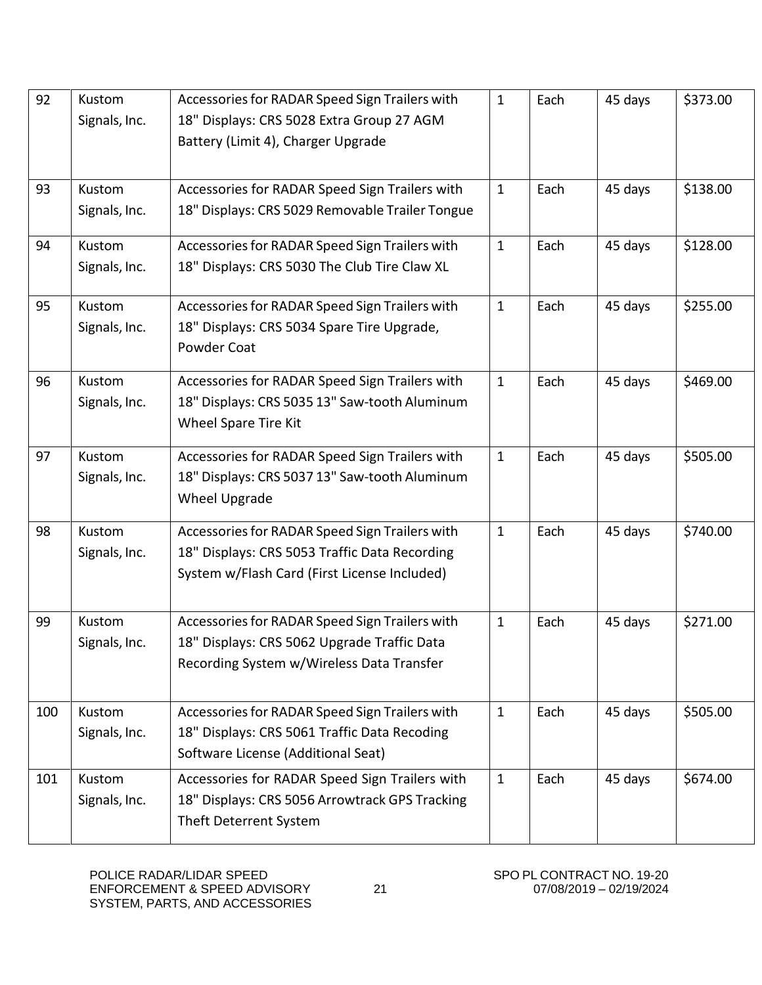| 92  | Kustom<br>Signals, Inc. | Accessories for RADAR Speed Sign Trailers with<br>18" Displays: CRS 5028 Extra Group 27 AGM<br>Battery (Limit 4), Charger Upgrade               | $\mathbf{1}$ | Each | 45 days | \$373.00 |
|-----|-------------------------|-------------------------------------------------------------------------------------------------------------------------------------------------|--------------|------|---------|----------|
| 93  | Kustom<br>Signals, Inc. | Accessories for RADAR Speed Sign Trailers with<br>18" Displays: CRS 5029 Removable Trailer Tongue                                               | $\mathbf{1}$ | Each | 45 days | \$138.00 |
| 94  | Kustom<br>Signals, Inc. | Accessories for RADAR Speed Sign Trailers with<br>18" Displays: CRS 5030 The Club Tire Claw XL                                                  | $\mathbf{1}$ | Each | 45 days | \$128.00 |
| 95  | Kustom<br>Signals, Inc. | Accessories for RADAR Speed Sign Trailers with<br>18" Displays: CRS 5034 Spare Tire Upgrade,<br>Powder Coat                                     | $\mathbf{1}$ | Each | 45 days | \$255.00 |
| 96  | Kustom<br>Signals, Inc. | Accessories for RADAR Speed Sign Trailers with<br>18" Displays: CRS 5035 13" Saw-tooth Aluminum<br>Wheel Spare Tire Kit                         | $\mathbf{1}$ | Each | 45 days | \$469.00 |
| 97  | Kustom<br>Signals, Inc. | Accessories for RADAR Speed Sign Trailers with<br>18" Displays: CRS 5037 13" Saw-tooth Aluminum<br>Wheel Upgrade                                | $\mathbf{1}$ | Each | 45 days | \$505.00 |
| 98  | Kustom<br>Signals, Inc. | Accessories for RADAR Speed Sign Trailers with<br>18" Displays: CRS 5053 Traffic Data Recording<br>System w/Flash Card (First License Included) | $\mathbf{1}$ | Each | 45 days | \$740.00 |
| 99  | Kustom<br>Signals, Inc. | Accessories for RADAR Speed Sign Trailers with<br>18" Displays: CRS 5062 Upgrade Traffic Data<br>Recording System w/Wireless Data Transfer      | $\mathbf{1}$ | Each | 45 days | \$271.00 |
| 100 | Kustom<br>Signals, Inc. | Accessories for RADAR Speed Sign Trailers with<br>18" Displays: CRS 5061 Traffic Data Recoding<br>Software License (Additional Seat)            | $\mathbf{1}$ | Each | 45 days | \$505.00 |
| 101 | Kustom<br>Signals, Inc. | Accessories for RADAR Speed Sign Trailers with<br>18" Displays: CRS 5056 Arrowtrack GPS Tracking<br>Theft Deterrent System                      | $\mathbf{1}$ | Each | 45 days | \$674.00 |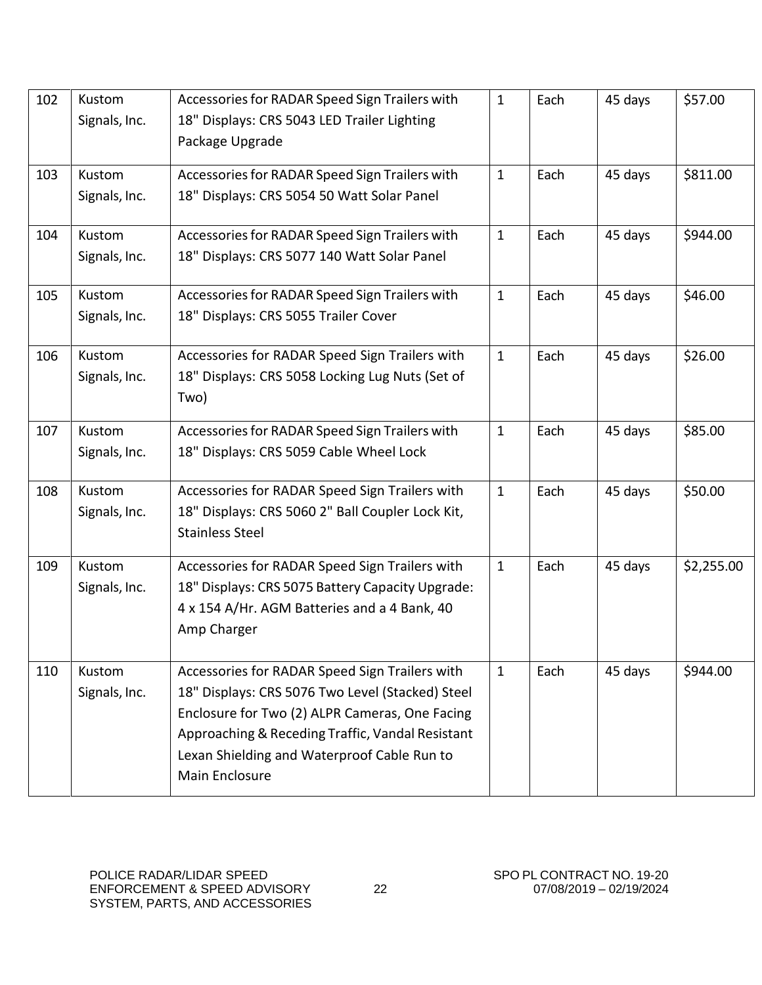| 102 | Kustom        | Accessories for RADAR Speed Sign Trailers with   | $\mathbf{1}$ | Each | 45 days | \$57.00    |
|-----|---------------|--------------------------------------------------|--------------|------|---------|------------|
|     | Signals, Inc. | 18" Displays: CRS 5043 LED Trailer Lighting      |              |      |         |            |
|     |               | Package Upgrade                                  |              |      |         |            |
|     |               |                                                  |              |      |         |            |
| 103 | Kustom        | Accessories for RADAR Speed Sign Trailers with   | $\mathbf{1}$ | Each | 45 days | \$811.00   |
|     | Signals, Inc. | 18" Displays: CRS 5054 50 Watt Solar Panel       |              |      |         |            |
| 104 | Kustom        | Accessories for RADAR Speed Sign Trailers with   | $\mathbf{1}$ | Each | 45 days | \$944.00   |
|     | Signals, Inc. | 18" Displays: CRS 5077 140 Watt Solar Panel      |              |      |         |            |
| 105 | Kustom        | Accessories for RADAR Speed Sign Trailers with   | $\mathbf{1}$ | Each | 45 days | \$46.00    |
|     | Signals, Inc. | 18" Displays: CRS 5055 Trailer Cover             |              |      |         |            |
| 106 | Kustom        | Accessories for RADAR Speed Sign Trailers with   | $\mathbf{1}$ | Each | 45 days | \$26.00    |
|     | Signals, Inc. | 18" Displays: CRS 5058 Locking Lug Nuts (Set of  |              |      |         |            |
|     |               | Two)                                             |              |      |         |            |
|     |               |                                                  |              |      |         |            |
| 107 | Kustom        | Accessories for RADAR Speed Sign Trailers with   | $\mathbf{1}$ | Each | 45 days | \$85.00    |
|     | Signals, Inc. | 18" Displays: CRS 5059 Cable Wheel Lock          |              |      |         |            |
| 108 | Kustom        | Accessories for RADAR Speed Sign Trailers with   | $\mathbf{1}$ | Each | 45 days | \$50.00    |
|     | Signals, Inc. | 18" Displays: CRS 5060 2" Ball Coupler Lock Kit, |              |      |         |            |
|     |               | <b>Stainless Steel</b>                           |              |      |         |            |
|     |               |                                                  |              |      |         |            |
| 109 | Kustom        | Accessories for RADAR Speed Sign Trailers with   | $\mathbf{1}$ | Each | 45 days | \$2,255.00 |
|     | Signals, Inc. | 18" Displays: CRS 5075 Battery Capacity Upgrade: |              |      |         |            |
|     |               | 4 x 154 A/Hr. AGM Batteries and a 4 Bank, 40     |              |      |         |            |
|     |               | Amp Charger                                      |              |      |         |            |
| 110 | Kustom        | Accessories for RADAR Speed Sign Trailers with   | $\mathbf{1}$ | Each | 45 days | \$944.00   |
|     | Signals, Inc. | 18" Displays: CRS 5076 Two Level (Stacked) Steel |              |      |         |            |
|     |               | Enclosure for Two (2) ALPR Cameras, One Facing   |              |      |         |            |
|     |               | Approaching & Receding Traffic, Vandal Resistant |              |      |         |            |
|     |               | Lexan Shielding and Waterproof Cable Run to      |              |      |         |            |
|     |               | Main Enclosure                                   |              |      |         |            |
|     |               |                                                  |              |      |         |            |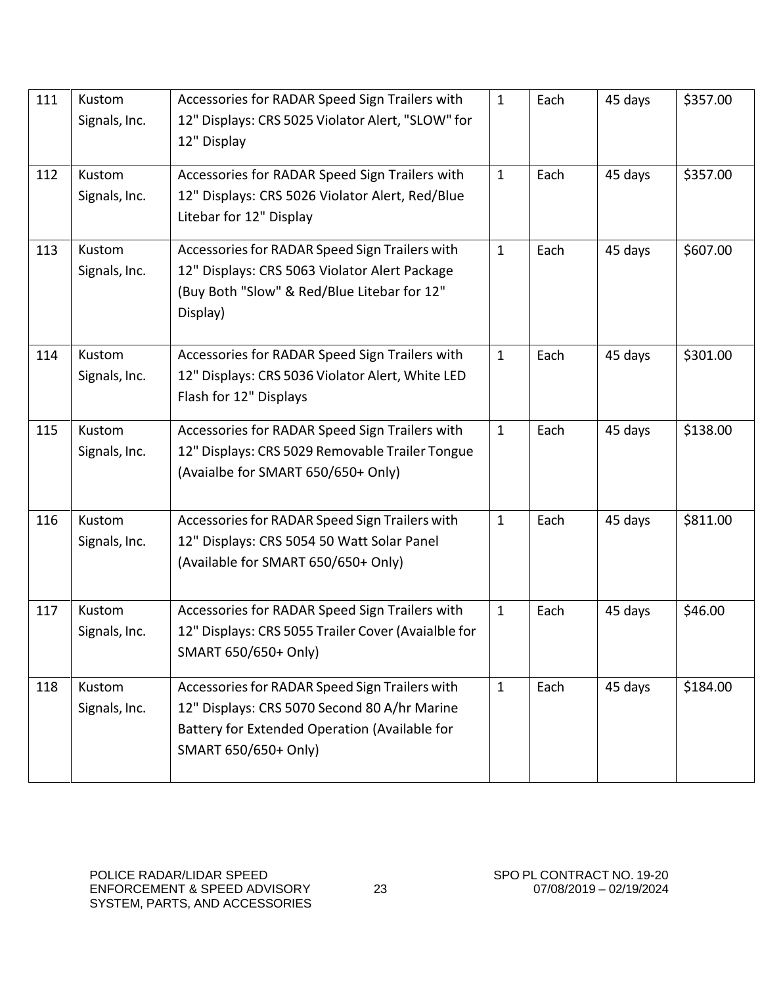| 111 | Kustom<br>Signals, Inc. | Accessories for RADAR Speed Sign Trailers with<br>12" Displays: CRS 5025 Violator Alert, "SLOW" for<br>12" Display                                                      | $\mathbf{1}$ | Each | 45 days | \$357.00 |
|-----|-------------------------|-------------------------------------------------------------------------------------------------------------------------------------------------------------------------|--------------|------|---------|----------|
| 112 | Kustom<br>Signals, Inc. | Accessories for RADAR Speed Sign Trailers with<br>12" Displays: CRS 5026 Violator Alert, Red/Blue<br>Litebar for 12" Display                                            | $\mathbf{1}$ | Each | 45 days | \$357.00 |
| 113 | Kustom<br>Signals, Inc. | Accessories for RADAR Speed Sign Trailers with<br>12" Displays: CRS 5063 Violator Alert Package<br>(Buy Both "Slow" & Red/Blue Litebar for 12"<br>Display)              | $\mathbf{1}$ | Each | 45 days | \$607.00 |
| 114 | Kustom<br>Signals, Inc. | Accessories for RADAR Speed Sign Trailers with<br>12" Displays: CRS 5036 Violator Alert, White LED<br>Flash for 12" Displays                                            | $\mathbf{1}$ | Each | 45 days | \$301.00 |
| 115 | Kustom<br>Signals, Inc. | Accessories for RADAR Speed Sign Trailers with<br>12" Displays: CRS 5029 Removable Trailer Tongue<br>(Avaialbe for SMART 650/650+ Only)                                 | $\mathbf{1}$ | Each | 45 days | \$138.00 |
| 116 | Kustom<br>Signals, Inc. | Accessories for RADAR Speed Sign Trailers with<br>12" Displays: CRS 5054 50 Watt Solar Panel<br>(Available for SMART 650/650+ Only)                                     | $\mathbf{1}$ | Each | 45 days | \$811.00 |
| 117 | Kustom<br>Signals, Inc. | Accessories for RADAR Speed Sign Trailers with<br>12" Displays: CRS 5055 Trailer Cover (Avaialble for<br>SMART 650/650+ Only)                                           | $\mathbf{1}$ | Each | 45 days | \$46.00  |
| 118 | Kustom<br>Signals, Inc. | Accessories for RADAR Speed Sign Trailers with<br>12" Displays: CRS 5070 Second 80 A/hr Marine<br>Battery for Extended Operation (Available for<br>SMART 650/650+ Only) | $\mathbf{1}$ | Each | 45 days | \$184.00 |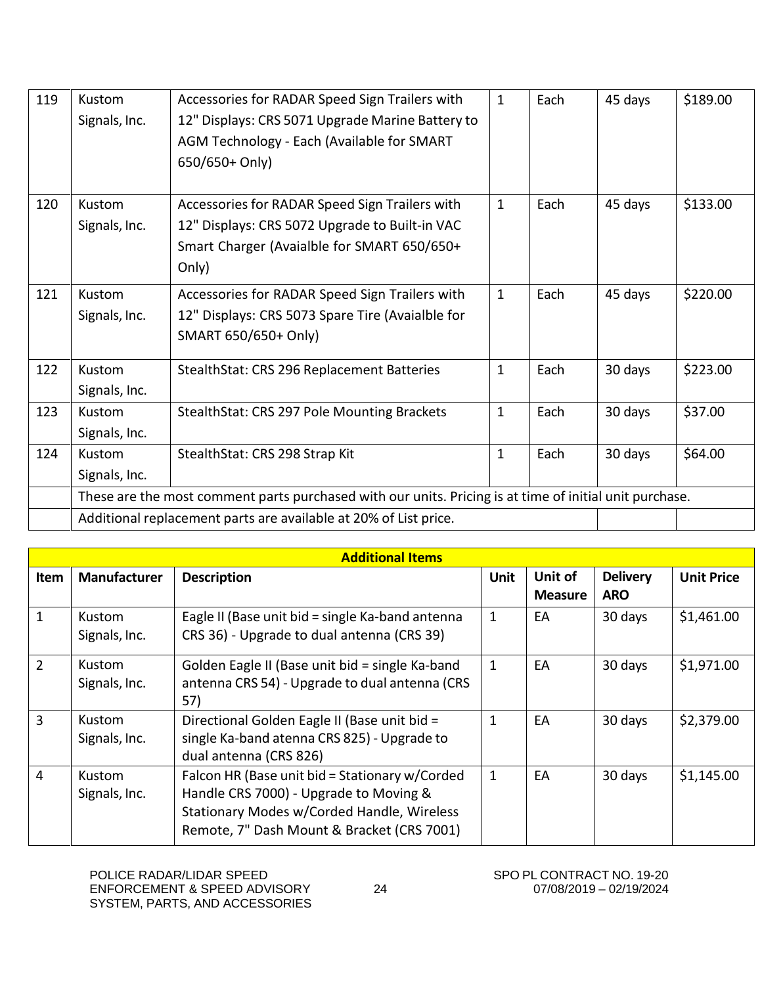| 119 | Kustom<br>Signals, Inc.                                          | Accessories for RADAR Speed Sign Trailers with<br>12" Displays: CRS 5071 Upgrade Marine Battery to<br>AGM Technology - Each (Available for SMART<br>650/650+ Only) | $\mathbf{1}$ | Each | 45 days | \$189.00 |
|-----|------------------------------------------------------------------|--------------------------------------------------------------------------------------------------------------------------------------------------------------------|--------------|------|---------|----------|
| 120 | Kustom<br>Signals, Inc.                                          | Accessories for RADAR Speed Sign Trailers with<br>12" Displays: CRS 5072 Upgrade to Built-in VAC<br>Smart Charger (Avaialble for SMART 650/650+<br>Only)           | $\mathbf{1}$ | Each | 45 days | \$133.00 |
| 121 | Kustom<br>Signals, Inc.                                          | Accessories for RADAR Speed Sign Trailers with<br>12" Displays: CRS 5073 Spare Tire (Avaialble for<br>SMART 650/650+ Only)                                         | $\mathbf{1}$ | Each | 45 days | \$220.00 |
| 122 | Kustom<br>Signals, Inc.                                          | StealthStat: CRS 296 Replacement Batteries                                                                                                                         | $\mathbf{1}$ | Each | 30 days | \$223.00 |
| 123 | Kustom<br>Signals, Inc.                                          | StealthStat: CRS 297 Pole Mounting Brackets                                                                                                                        | $\mathbf{1}$ | Each | 30 days | \$37.00  |
| 124 | Kustom<br>Signals, Inc.                                          | StealthStat: CRS 298 Strap Kit                                                                                                                                     | 1            | Each | 30 days | \$64.00  |
|     |                                                                  | These are the most comment parts purchased with our units. Pricing is at time of initial unit purchase.                                                            |              |      |         |          |
|     | Additional replacement parts are available at 20% of List price. |                                                                                                                                                                    |              |      |         |          |

|                | <b>Additional Items</b>        |                                                                                                                                                                                      |             |                           |                               |                   |  |  |
|----------------|--------------------------------|--------------------------------------------------------------------------------------------------------------------------------------------------------------------------------------|-------------|---------------------------|-------------------------------|-------------------|--|--|
| Item           | <b>Manufacturer</b>            | <b>Description</b>                                                                                                                                                                   | <b>Unit</b> | Unit of<br><b>Measure</b> | <b>Delivery</b><br><b>ARO</b> | <b>Unit Price</b> |  |  |
| 1              | <b>Kustom</b><br>Signals, Inc. | Eagle II (Base unit bid = single Ka-band antenna<br>CRS 36) - Upgrade to dual antenna (CRS 39)                                                                                       | 1           | EA                        | 30 days                       | \$1,461.00        |  |  |
| $\overline{2}$ | Kustom<br>Signals, Inc.        | Golden Eagle II (Base unit bid = single Ka-band<br>antenna CRS 54) - Upgrade to dual antenna (CRS<br>57)                                                                             | 1           | EA                        | 30 days                       | \$1,971.00        |  |  |
| 3              | Kustom<br>Signals, Inc.        | Directional Golden Eagle II (Base unit bid =<br>single Ka-band atenna CRS 825) - Upgrade to<br>dual antenna (CRS 826)                                                                | 1           | EA                        | 30 days                       | \$2,379.00        |  |  |
| $\overline{4}$ | Kustom<br>Signals, Inc.        | Falcon HR (Base unit bid = Stationary w/Corded<br>Handle CRS 7000) - Upgrade to Moving &<br>Stationary Modes w/Corded Handle, Wireless<br>Remote, 7" Dash Mount & Bracket (CRS 7001) | 1           | EA                        | 30 days                       | \$1,145.00        |  |  |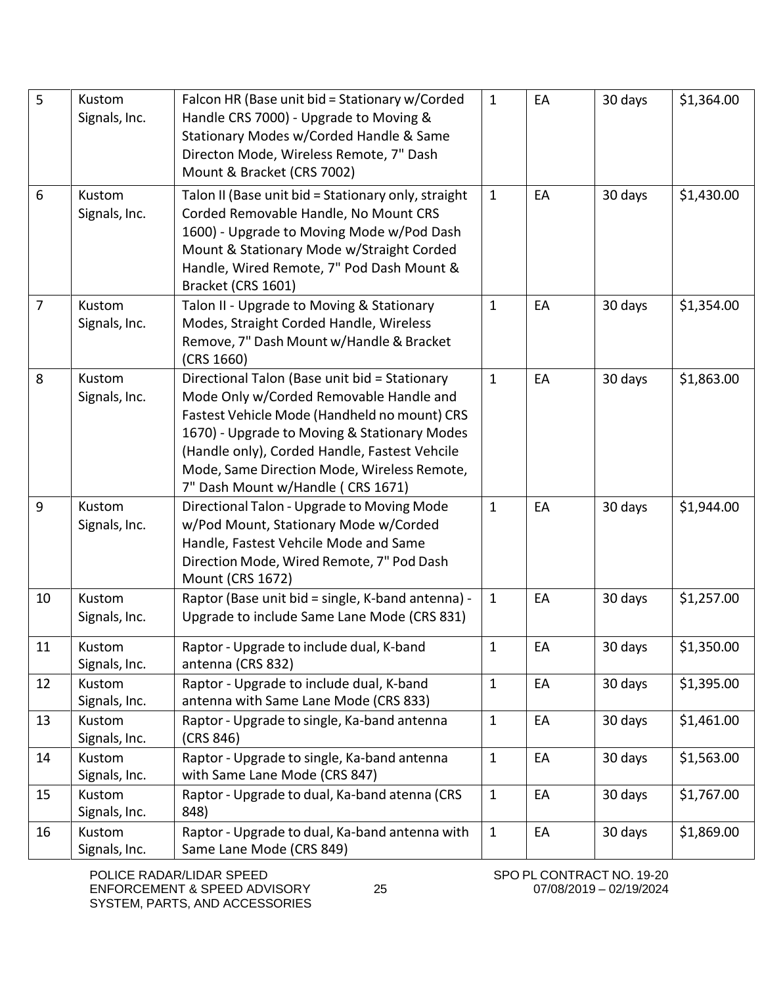| 5  | Kustom<br>Signals, Inc. | Falcon HR (Base unit bid = Stationary w/Corded<br>Handle CRS 7000) - Upgrade to Moving &<br>Stationary Modes w/Corded Handle & Same<br>Directon Mode, Wireless Remote, 7" Dash<br>Mount & Bracket (CRS 7002)                                                                                                                  | $\mathbf{1}$ | EA | 30 days | \$1,364.00 |
|----|-------------------------|-------------------------------------------------------------------------------------------------------------------------------------------------------------------------------------------------------------------------------------------------------------------------------------------------------------------------------|--------------|----|---------|------------|
| 6  | Kustom<br>Signals, Inc. | Talon II (Base unit bid = Stationary only, straight<br>Corded Removable Handle, No Mount CRS<br>1600) - Upgrade to Moving Mode w/Pod Dash<br>Mount & Stationary Mode w/Straight Corded<br>Handle, Wired Remote, 7" Pod Dash Mount &<br>Bracket (CRS 1601)                                                                     | $\mathbf{1}$ | EA | 30 days | \$1,430.00 |
| 7  | Kustom<br>Signals, Inc. | Talon II - Upgrade to Moving & Stationary<br>Modes, Straight Corded Handle, Wireless<br>Remove, 7" Dash Mount w/Handle & Bracket<br>(CRS 1660)                                                                                                                                                                                | $\mathbf{1}$ | EA | 30 days | \$1,354.00 |
| 8  | Kustom<br>Signals, Inc. | Directional Talon (Base unit bid = Stationary<br>Mode Only w/Corded Removable Handle and<br>Fastest Vehicle Mode (Handheld no mount) CRS<br>1670) - Upgrade to Moving & Stationary Modes<br>(Handle only), Corded Handle, Fastest Vehcile<br>Mode, Same Direction Mode, Wireless Remote,<br>7" Dash Mount w/Handle (CRS 1671) | $\mathbf{1}$ | EA | 30 days | \$1,863.00 |
| 9  | Kustom<br>Signals, Inc. | Directional Talon - Upgrade to Moving Mode<br>w/Pod Mount, Stationary Mode w/Corded<br>Handle, Fastest Vehcile Mode and Same<br>Direction Mode, Wired Remote, 7" Pod Dash<br><b>Mount (CRS 1672)</b>                                                                                                                          | $\mathbf{1}$ | EA | 30 days | \$1,944.00 |
| 10 | Kustom<br>Signals, Inc. | Raptor (Base unit bid = single, K-band antenna) -<br>Upgrade to include Same Lane Mode (CRS 831)                                                                                                                                                                                                                              | $\mathbf{1}$ | EA | 30 days | \$1,257.00 |
| 11 | Kustom<br>Signals, Inc. | Raptor - Upgrade to include dual, K-band<br>antenna (CRS 832)                                                                                                                                                                                                                                                                 | $\mathbf{1}$ | EA | 30 days | \$1,350.00 |
| 12 | Kustom<br>Signals, Inc. | Raptor - Upgrade to include dual, K-band<br>antenna with Same Lane Mode (CRS 833)                                                                                                                                                                                                                                             | $\mathbf{1}$ | EA | 30 days | \$1,395.00 |
| 13 | Kustom<br>Signals, Inc. | Raptor - Upgrade to single, Ka-band antenna<br>(CRS 846)                                                                                                                                                                                                                                                                      | $\mathbf{1}$ | EA | 30 days | \$1,461.00 |
| 14 | Kustom<br>Signals, Inc. | Raptor - Upgrade to single, Ka-band antenna<br>with Same Lane Mode (CRS 847)                                                                                                                                                                                                                                                  | $\mathbf{1}$ | EA | 30 days | \$1,563.00 |
| 15 | Kustom<br>Signals, Inc. | Raptor - Upgrade to dual, Ka-band atenna (CRS<br>848)                                                                                                                                                                                                                                                                         | $\mathbf{1}$ | EA | 30 days | \$1,767.00 |
| 16 | Kustom<br>Signals, Inc. | Raptor - Upgrade to dual, Ka-band antenna with<br>Same Lane Mode (CRS 849)                                                                                                                                                                                                                                                    | $\mathbf{1}$ | EA | 30 days | \$1,869.00 |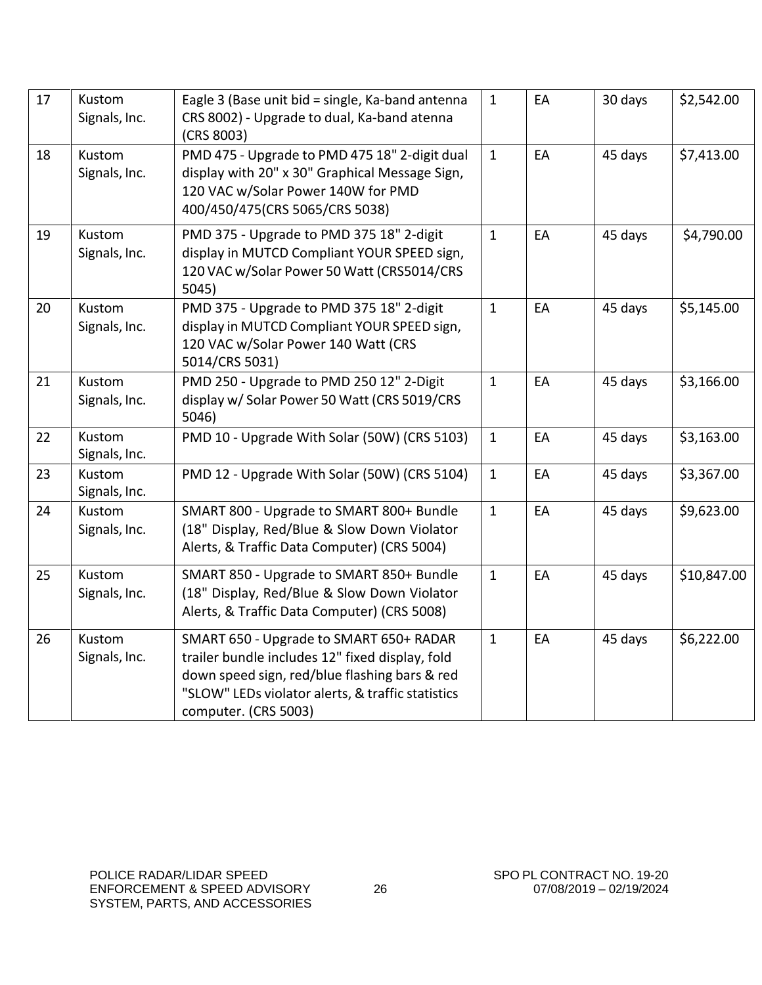| 17 | Kustom<br>Signals, Inc. | Eagle 3 (Base unit bid = single, Ka-band antenna<br>CRS 8002) - Upgrade to dual, Ka-band atenna<br>(CRS 8003)                                                                                                            | $\mathbf{1}$ | EA | 30 days | \$2,542.00  |
|----|-------------------------|--------------------------------------------------------------------------------------------------------------------------------------------------------------------------------------------------------------------------|--------------|----|---------|-------------|
| 18 | Kustom<br>Signals, Inc. | PMD 475 - Upgrade to PMD 475 18" 2-digit dual<br>display with 20" x 30" Graphical Message Sign,<br>120 VAC w/Solar Power 140W for PMD<br>400/450/475(CRS 5065/CRS 5038)                                                  | $\mathbf{1}$ | EA | 45 days | \$7,413.00  |
| 19 | Kustom<br>Signals, Inc. | PMD 375 - Upgrade to PMD 375 18" 2-digit<br>display in MUTCD Compliant YOUR SPEED sign,<br>120 VAC w/Solar Power 50 Watt (CRS5014/CRS<br>5045)                                                                           | $\mathbf{1}$ | EA | 45 days | \$4,790.00  |
| 20 | Kustom<br>Signals, Inc. | PMD 375 - Upgrade to PMD 375 18" 2-digit<br>display in MUTCD Compliant YOUR SPEED sign,<br>120 VAC w/Solar Power 140 Watt (CRS<br>5014/CRS 5031)                                                                         | $\mathbf{1}$ | EA | 45 days | \$5,145.00  |
| 21 | Kustom<br>Signals, Inc. | PMD 250 - Upgrade to PMD 250 12" 2-Digit<br>display w/ Solar Power 50 Watt (CRS 5019/CRS<br>5046)                                                                                                                        | $\mathbf{1}$ | EA | 45 days | \$3,166.00  |
| 22 | Kustom<br>Signals, Inc. | PMD 10 - Upgrade With Solar (50W) (CRS 5103)                                                                                                                                                                             | $\mathbf{1}$ | EA | 45 days | \$3,163.00  |
| 23 | Kustom<br>Signals, Inc. | PMD 12 - Upgrade With Solar (50W) (CRS 5104)                                                                                                                                                                             | $\mathbf{1}$ | EA | 45 days | \$3,367.00  |
| 24 | Kustom<br>Signals, Inc. | SMART 800 - Upgrade to SMART 800+ Bundle<br>(18" Display, Red/Blue & Slow Down Violator<br>Alerts, & Traffic Data Computer) (CRS 5004)                                                                                   | $\mathbf{1}$ | EA | 45 days | \$9,623.00  |
| 25 | Kustom<br>Signals, Inc. | SMART 850 - Upgrade to SMART 850+ Bundle<br>(18" Display, Red/Blue & Slow Down Violator<br>Alerts, & Traffic Data Computer) (CRS 5008)                                                                                   | $\mathbf{1}$ | EA | 45 days | \$10,847.00 |
| 26 | Kustom<br>Signals, Inc. | SMART 650 - Upgrade to SMART 650+ RADAR<br>trailer bundle includes 12" fixed display, fold<br>down speed sign, red/blue flashing bars & red<br>"SLOW" LEDs violator alerts, & traffic statistics<br>computer. (CRS 5003) | $\mathbf{1}$ | EA | 45 days | \$6,222.00  |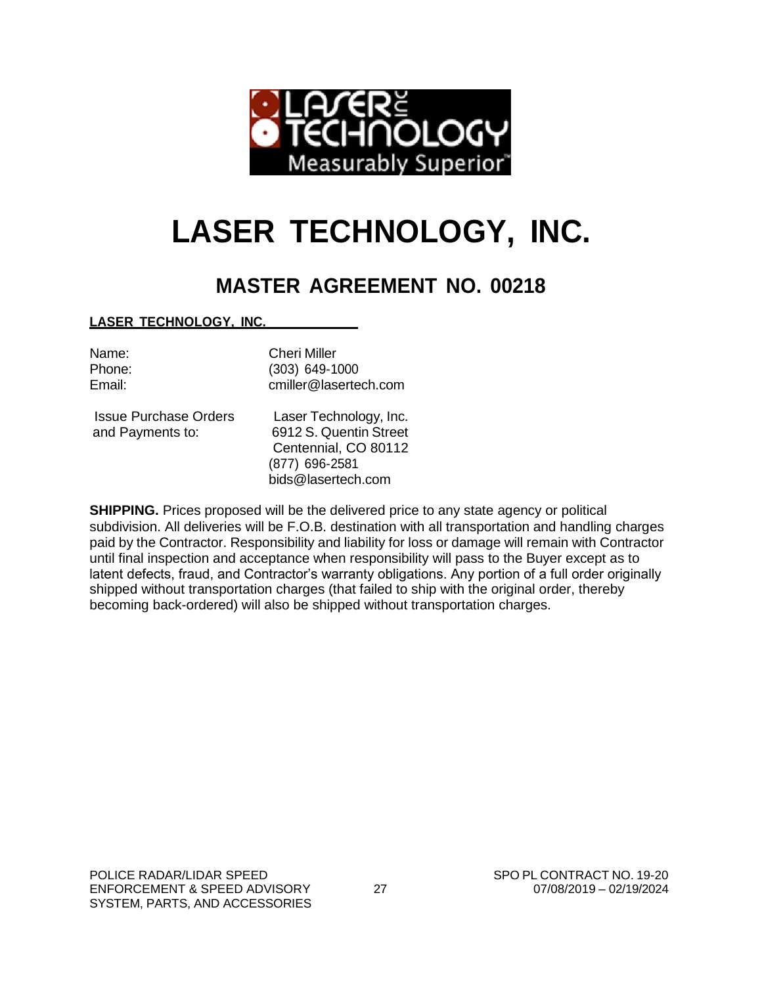

# **LASER TECHNOLOGY, INC.**

# **MASTER AGREEMENT NO. 00218**

**LASER TECHNOLOGY, INC.**

| Name:  |
|--------|
| Phone: |
| Email: |

Cheri Miller Phone: (303) 649-1000 [cmiller@lasertech.com](mailto:cmiller@lasertech.com)

Issue Purchase Orders Laser Technology, Inc. and Payments to: 6912 S. Quentin Street

Centennial, CO 80112 (877) 696-2581 [bids@lasertech.com](mailto:bids@lasertech.com)

**SHIPPING.** Prices proposed will be the delivered price to any state agency or political subdivision. All deliveries will be F.O.B. destination with all transportation and handling charges paid by the Contractor. Responsibility and liability for loss or damage will remain with Contractor until final inspection and acceptance when responsibility will pass to the Buyer except as to latent defects, fraud, and Contractor's warranty obligations. Any portion of a full order originally shipped without transportation charges (that failed to ship with the original order, thereby becoming back-ordered) will also be shipped without transportation charges.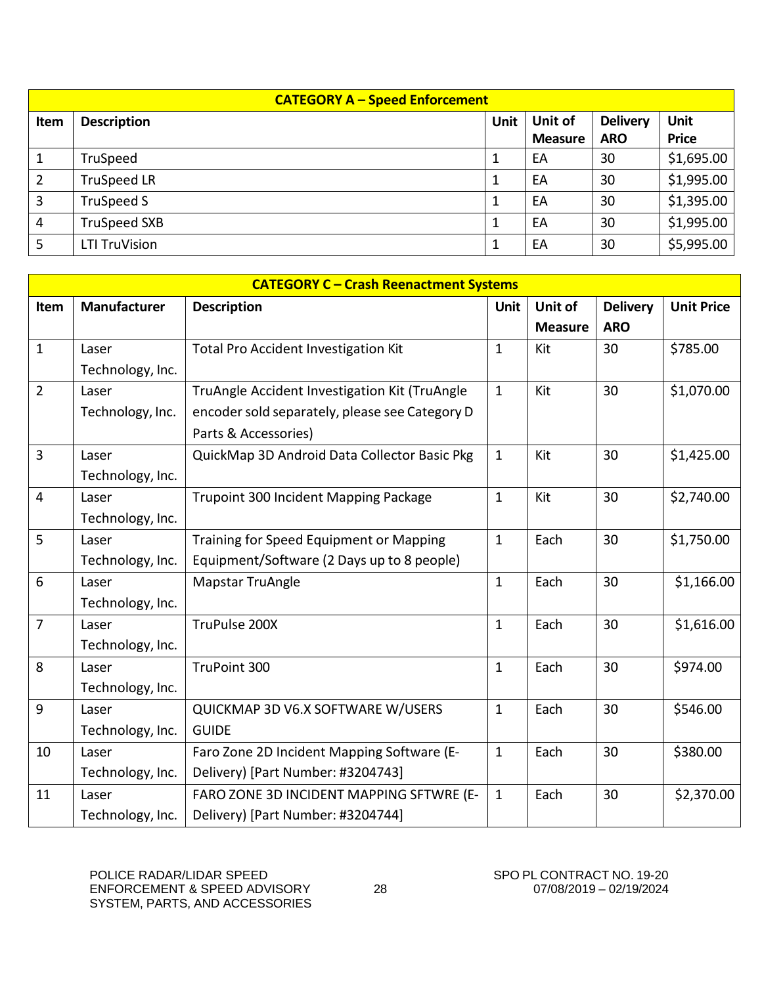|      | <b>CATEGORY A - Speed Enforcement</b>                                   |  |                |            |              |  |  |
|------|-------------------------------------------------------------------------|--|----------------|------------|--------------|--|--|
| Item | Unit of<br><b>Delivery</b><br><b>Unit</b><br>Unit<br><b>Description</b> |  |                |            |              |  |  |
|      |                                                                         |  | <b>Measure</b> | <b>ARO</b> | <b>Price</b> |  |  |
|      | TruSpeed                                                                |  | EA             | 30         | \$1,695.00   |  |  |
| 2    | <b>TruSpeed LR</b>                                                      |  | EA             | 30         | \$1,995.00   |  |  |
| 3    | TruSpeed S                                                              |  | EA             | 30         | \$1,395.00   |  |  |
| 4    | <b>TruSpeed SXB</b>                                                     |  | EA             | 30         | \$1,995.00   |  |  |
| 5    | <b>LTI TruVision</b>                                                    |  | EA             | 30         | \$5,995.00   |  |  |

|                | <b>CATEGORY C - Crash Reenactment Systems</b> |                                                                        |              |                           |                               |                   |
|----------------|-----------------------------------------------|------------------------------------------------------------------------|--------------|---------------------------|-------------------------------|-------------------|
| Item           | <b>Manufacturer</b>                           | <b>Description</b>                                                     | <b>Unit</b>  | Unit of<br><b>Measure</b> | <b>Delivery</b><br><b>ARO</b> | <b>Unit Price</b> |
|                |                                               |                                                                        |              |                           |                               |                   |
| $\mathbf{1}$   | Laser                                         | <b>Total Pro Accident Investigation Kit</b>                            | $\mathbf{1}$ | Kit                       | 30                            | \$785.00          |
|                | Technology, Inc.                              |                                                                        |              |                           |                               |                   |
| $\overline{2}$ | Laser                                         | TruAngle Accident Investigation Kit (TruAngle                          | $\mathbf{1}$ | Kit                       | 30                            | \$1,070.00        |
|                | Technology, Inc.                              | encoder sold separately, please see Category D<br>Parts & Accessories) |              |                           |                               |                   |
| $\overline{3}$ | Laser                                         | QuickMap 3D Android Data Collector Basic Pkg                           | $\mathbf{1}$ | Kit                       | 30                            | \$1,425.00        |
|                | Technology, Inc.                              |                                                                        |              |                           |                               |                   |
| $\overline{4}$ | Laser                                         | Trupoint 300 Incident Mapping Package                                  | $\mathbf{1}$ | Kit                       | 30                            | \$2,740.00        |
|                | Technology, Inc.                              |                                                                        |              |                           |                               |                   |
| 5              | Laser                                         | Training for Speed Equipment or Mapping                                | $\mathbf{1}$ | Each                      | 30                            | \$1,750.00        |
|                | Technology, Inc.                              | Equipment/Software (2 Days up to 8 people)                             |              |                           |                               |                   |
| 6              | Laser                                         | Mapstar TruAngle                                                       | $\mathbf{1}$ | Each                      | 30                            | \$1,166.00        |
|                | Technology, Inc.                              |                                                                        |              |                           |                               |                   |
| $\overline{7}$ | Laser                                         | TruPulse 200X                                                          | $\mathbf{1}$ | Each                      | 30                            | \$1,616.00        |
|                | Technology, Inc.                              |                                                                        |              |                           |                               |                   |
| 8              | Laser                                         | TruPoint 300                                                           | $\mathbf{1}$ | Each                      | 30                            | \$974.00          |
|                | Technology, Inc.                              |                                                                        |              |                           |                               |                   |
| 9              | Laser                                         | QUICKMAP 3D V6.X SOFTWARE W/USERS                                      | $\mathbf{1}$ | Each                      | 30                            | \$546.00          |
|                | Technology, Inc.                              | <b>GUIDE</b>                                                           |              |                           |                               |                   |
| 10             | Laser                                         | Faro Zone 2D Incident Mapping Software (E-                             | $\mathbf{1}$ | Each                      | 30                            | \$380.00          |
|                | Technology, Inc.                              | Delivery) [Part Number: #3204743]                                      |              |                           |                               |                   |
| 11             | Laser                                         | FARO ZONE 3D INCIDENT MAPPING SFTWRE (E-                               | $\mathbf{1}$ | Each                      | 30                            | \$2,370.00        |
|                | Technology, Inc.                              | Delivery) [Part Number: #3204744]                                      |              |                           |                               |                   |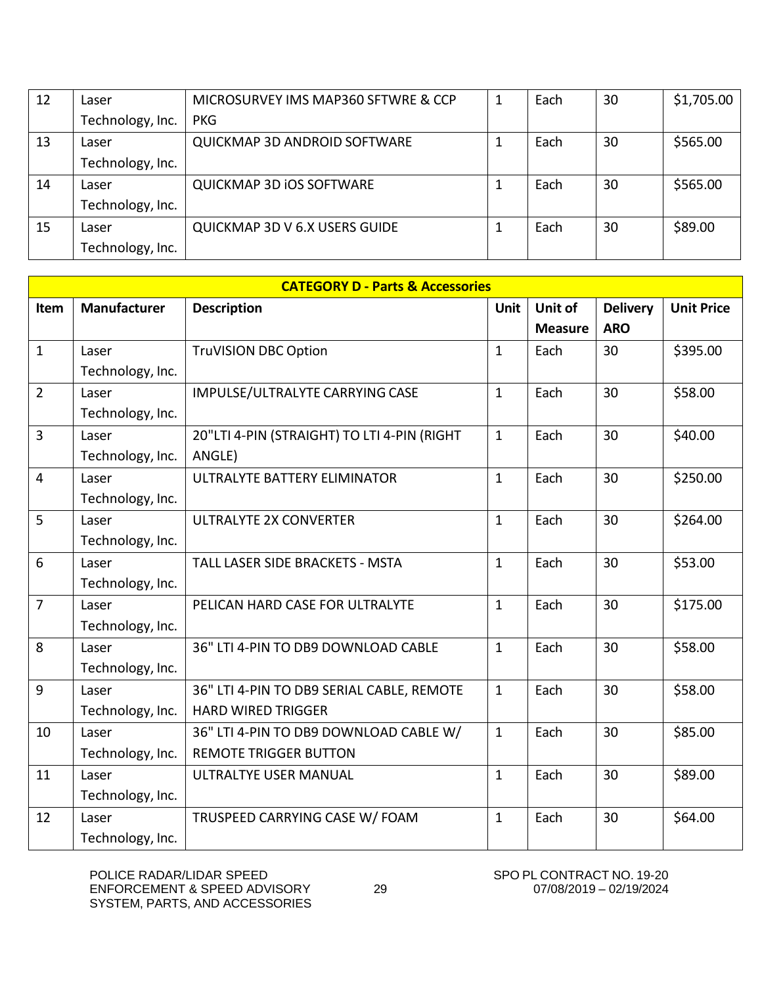| 12 | Laser            | MICROSURVEY IMS MAP360 SFTWRE & CCP | 1 | Each | 30 | \$1,705.00 |
|----|------------------|-------------------------------------|---|------|----|------------|
|    | Technology, Inc. | <b>PKG</b>                          |   |      |    |            |
| 13 | Laser            | <b>QUICKMAP 3D ANDROID SOFTWARE</b> |   | Each | 30 | \$565.00   |
|    | Technology, Inc. |                                     |   |      |    |            |
| 14 | Laser            | <b>QUICKMAP 3D IOS SOFTWARE</b>     |   | Each | 30 | \$565.00   |
|    | Technology, Inc. |                                     |   |      |    |            |
| 15 | Laser            | QUICKMAP 3D V 6.X USERS GUIDE       |   | Each | 30 | \$89.00    |
|    | Technology, Inc. |                                     |   |      |    |            |

|                | <b>CATEGORY D - Parts &amp; Accessories</b> |                                             |              |                |                 |                   |  |  |
|----------------|---------------------------------------------|---------------------------------------------|--------------|----------------|-----------------|-------------------|--|--|
| Item           | <b>Manufacturer</b>                         | <b>Description</b>                          | <b>Unit</b>  | Unit of        | <b>Delivery</b> | <b>Unit Price</b> |  |  |
|                |                                             |                                             |              | <b>Measure</b> | <b>ARO</b>      |                   |  |  |
| $\mathbf{1}$   | Laser                                       | <b>TruVISION DBC Option</b>                 | $\mathbf{1}$ | Each           | 30              | \$395.00          |  |  |
|                | Technology, Inc.                            |                                             |              |                |                 |                   |  |  |
| $\overline{2}$ | Laser                                       | IMPULSE/ULTRALYTE CARRYING CASE             | $\mathbf{1}$ | Each           | 30              | \$58.00           |  |  |
|                | Technology, Inc.                            |                                             |              |                |                 |                   |  |  |
| $\overline{3}$ | Laser                                       | 20"LTI 4-PIN (STRAIGHT) TO LTI 4-PIN (RIGHT | $\mathbf{1}$ | Each           | 30              | \$40.00           |  |  |
|                | Technology, Inc.                            | ANGLE)                                      |              |                |                 |                   |  |  |
| $\overline{4}$ | Laser                                       | ULTRALYTE BATTERY ELIMINATOR                | $\mathbf{1}$ | Each           | 30              | \$250.00          |  |  |
|                | Technology, Inc.                            |                                             |              |                |                 |                   |  |  |
| 5              | Laser                                       | <b>ULTRALYTE 2X CONVERTER</b>               | $\mathbf{1}$ | Each           | 30              | \$264.00          |  |  |
|                | Technology, Inc.                            |                                             |              |                |                 |                   |  |  |
| 6              | Laser                                       | <b>TALL LASER SIDE BRACKETS - MSTA</b>      | $\mathbf{1}$ | Each           | 30              | \$53.00           |  |  |
|                | Technology, Inc.                            |                                             |              |                |                 |                   |  |  |
| $\overline{7}$ | Laser                                       | PELICAN HARD CASE FOR ULTRALYTE             | $\mathbf{1}$ | Each           | 30              | \$175.00          |  |  |
|                | Technology, Inc.                            |                                             |              |                |                 |                   |  |  |
| 8              | Laser                                       | 36" LTI 4-PIN TO DB9 DOWNLOAD CABLE         | $\mathbf{1}$ | Each           | 30              | \$58.00           |  |  |
|                | Technology, Inc.                            |                                             |              |                |                 |                   |  |  |
| 9              | Laser                                       | 36" LTI 4-PIN TO DB9 SERIAL CABLE, REMOTE   | $\mathbf{1}$ | Each           | 30              | \$58.00           |  |  |
|                | Technology, Inc.                            | <b>HARD WIRED TRIGGER</b>                   |              |                |                 |                   |  |  |
| 10             | Laser                                       | 36" LTI 4-PIN TO DB9 DOWNLOAD CABLE W/      | $\mathbf{1}$ | Each           | 30              | \$85.00           |  |  |
|                | Technology, Inc.                            | <b>REMOTE TRIGGER BUTTON</b>                |              |                |                 |                   |  |  |
| 11             | Laser                                       | ULTRALTYE USER MANUAL                       | $\mathbf{1}$ | Each           | 30              | \$89.00           |  |  |
|                | Technology, Inc.                            |                                             |              |                |                 |                   |  |  |
| 12             | Laser                                       | TRUSPEED CARRYING CASE W/ FOAM              | $\mathbf{1}$ | Each           | 30              | \$64.00           |  |  |
|                | Technology, Inc.                            |                                             |              |                |                 |                   |  |  |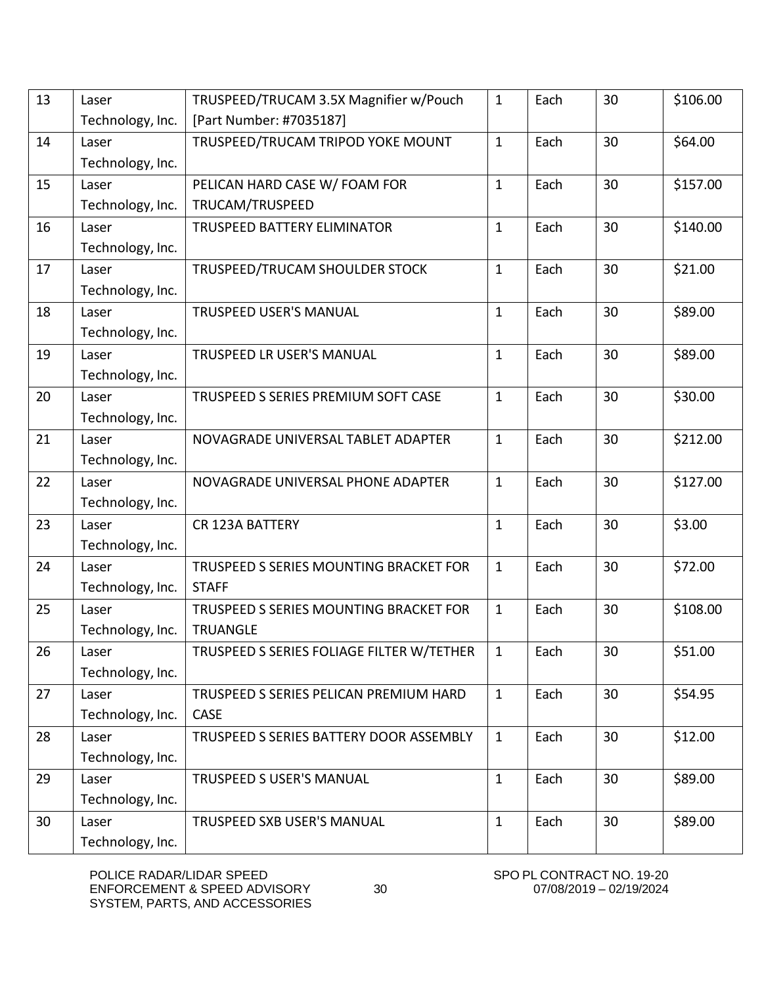| 13 | Laser            | TRUSPEED/TRUCAM 3.5X Magnifier w/Pouch    | $\mathbf{1}$ | Each | 30 | \$106.00 |
|----|------------------|-------------------------------------------|--------------|------|----|----------|
|    | Technology, Inc. | [Part Number: #7035187]                   |              |      |    |          |
| 14 | Laser            | TRUSPEED/TRUCAM TRIPOD YOKE MOUNT         | $\mathbf{1}$ | Each | 30 | \$64.00  |
|    | Technology, Inc. |                                           |              |      |    |          |
| 15 | Laser            | PELICAN HARD CASE W/ FOAM FOR             | $\mathbf{1}$ | Each | 30 | \$157.00 |
|    | Technology, Inc. | TRUCAM/TRUSPEED                           |              |      |    |          |
| 16 | Laser            | TRUSPEED BATTERY ELIMINATOR               | $\mathbf{1}$ | Each | 30 | \$140.00 |
|    | Technology, Inc. |                                           |              |      |    |          |
| 17 | Laser            | TRUSPEED/TRUCAM SHOULDER STOCK            | $\mathbf{1}$ | Each | 30 | \$21.00  |
|    | Technology, Inc. |                                           |              |      |    |          |
| 18 | Laser            | <b>TRUSPEED USER'S MANUAL</b>             | $\mathbf 1$  | Each | 30 | \$89.00  |
|    | Technology, Inc. |                                           |              |      |    |          |
| 19 | Laser            | <b>TRUSPEED LR USER'S MANUAL</b>          | $\mathbf{1}$ | Each | 30 | \$89.00  |
|    | Technology, Inc. |                                           |              |      |    |          |
| 20 | Laser            | TRUSPEED S SERIES PREMIUM SOFT CASE       | $\mathbf{1}$ | Each | 30 | \$30.00  |
|    | Technology, Inc. |                                           |              |      |    |          |
| 21 | Laser            | NOVAGRADE UNIVERSAL TABLET ADAPTER        | $\mathbf{1}$ | Each | 30 | \$212.00 |
|    | Technology, Inc. |                                           |              |      |    |          |
| 22 | Laser            | NOVAGRADE UNIVERSAL PHONE ADAPTER         | $\mathbf{1}$ | Each | 30 | \$127.00 |
|    | Technology, Inc. |                                           |              |      |    |          |
| 23 | Laser            | <b>CR 123A BATTERY</b>                    | $\mathbf{1}$ | Each | 30 | \$3.00   |
|    | Technology, Inc. |                                           |              |      |    |          |
| 24 | Laser            | TRUSPEED S SERIES MOUNTING BRACKET FOR    | $\mathbf{1}$ | Each | 30 | \$72.00  |
|    | Technology, Inc. | <b>STAFF</b>                              |              |      |    |          |
| 25 | Laser            | TRUSPEED S SERIES MOUNTING BRACKET FOR    | $\mathbf{1}$ | Each | 30 | \$108.00 |
|    | Technology, Inc. | <b>TRUANGLE</b>                           |              |      |    |          |
| 26 | Laser            | TRUSPEED S SERIES FOLIAGE FILTER W/TETHER | $\mathbf{1}$ | Each | 30 | \$51.00  |
|    | Technology, Inc. |                                           |              |      |    |          |
| 27 | Laser            | TRUSPEED S SERIES PELICAN PREMIUM HARD    | $\mathbf{1}$ | Each | 30 | \$54.95  |
|    | Technology, Inc. | <b>CASE</b>                               |              |      |    |          |
| 28 | Laser            | TRUSPEED S SERIES BATTERY DOOR ASSEMBLY   | $\mathbf{1}$ | Each | 30 | \$12.00  |
|    | Technology, Inc. |                                           |              |      |    |          |
| 29 | Laser            | TRUSPEED S USER'S MANUAL                  | $\mathbf{1}$ | Each | 30 | \$89.00  |
|    | Technology, Inc. |                                           |              |      |    |          |
| 30 | Laser            | TRUSPEED SXB USER'S MANUAL                | $\mathbf{1}$ | Each | 30 | \$89.00  |
|    | Technology, Inc. |                                           |              |      |    |          |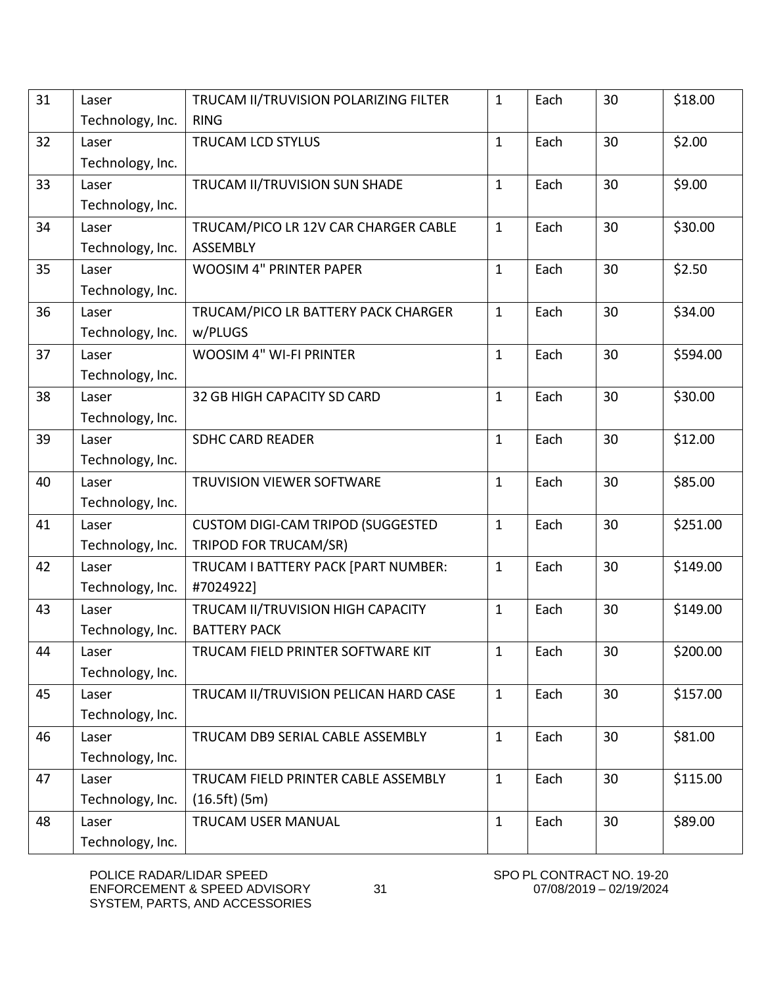| 31 | Laser            | TRUCAM II/TRUVISION POLARIZING FILTER    | $\mathbf{1}$ | Each | 30 | \$18.00  |
|----|------------------|------------------------------------------|--------------|------|----|----------|
|    | Technology, Inc. | <b>RING</b>                              |              |      |    |          |
| 32 | Laser            | TRUCAM LCD STYLUS                        | $\mathbf{1}$ | Each | 30 | \$2.00   |
|    | Technology, Inc. |                                          |              |      |    |          |
| 33 | Laser            | TRUCAM II/TRUVISION SUN SHADE            | $\mathbf{1}$ | Each | 30 | \$9.00   |
|    | Technology, Inc. |                                          |              |      |    |          |
| 34 | Laser            | TRUCAM/PICO LR 12V CAR CHARGER CABLE     | $\mathbf{1}$ | Each | 30 | \$30.00  |
|    | Technology, Inc. | <b>ASSEMBLY</b>                          |              |      |    |          |
| 35 | Laser            | <b>WOOSIM 4" PRINTER PAPER</b>           | $\mathbf{1}$ | Each | 30 | \$2.50   |
|    | Technology, Inc. |                                          |              |      |    |          |
| 36 | Laser            | TRUCAM/PICO LR BATTERY PACK CHARGER      | $\mathbf{1}$ | Each | 30 | \$34.00  |
|    | Technology, Inc. | w/PLUGS                                  |              |      |    |          |
| 37 | Laser            | <b>WOOSIM 4" WI-FI PRINTER</b>           | $\mathbf{1}$ | Each | 30 | \$594.00 |
|    | Technology, Inc. |                                          |              |      |    |          |
| 38 | Laser            | 32 GB HIGH CAPACITY SD CARD              | 1            | Each | 30 | \$30.00  |
|    | Technology, Inc. |                                          |              |      |    |          |
| 39 | Laser            | <b>SDHC CARD READER</b>                  | $\mathbf{1}$ | Each | 30 | \$12.00  |
|    | Technology, Inc. |                                          |              |      |    |          |
| 40 | Laser            | TRUVISION VIEWER SOFTWARE                | $\mathbf{1}$ | Each | 30 | \$85.00  |
|    | Technology, Inc. |                                          |              |      |    |          |
| 41 | Laser            | <b>CUSTOM DIGI-CAM TRIPOD (SUGGESTED</b> | $\mathbf{1}$ | Each | 30 | \$251.00 |
|    | Technology, Inc. | TRIPOD FOR TRUCAM/SR)                    |              |      |    |          |
| 42 | Laser            | TRUCAM I BATTERY PACK [PART NUMBER:      | $\mathbf{1}$ | Each | 30 | \$149.00 |
|    | Technology, Inc. | #7024922]                                |              |      |    |          |
| 43 | Laser            | TRUCAM II/TRUVISION HIGH CAPACITY        | $\mathbf{1}$ | Each | 30 | \$149.00 |
|    | Technology, Inc. | <b>BATTERY PACK</b>                      |              |      |    |          |
| 44 | Laser            | TRUCAM FIELD PRINTER SOFTWARE KIT        | 1            | Each | 30 | \$200.00 |
|    | Technology, Inc. |                                          |              |      |    |          |
| 45 | Laser            | TRUCAM II/TRUVISION PELICAN HARD CASE    | $\mathbf{1}$ | Each | 30 | \$157.00 |
|    | Technology, Inc. |                                          |              |      |    |          |
| 46 | Laser            | TRUCAM DB9 SERIAL CABLE ASSEMBLY         | $\mathbf{1}$ | Each | 30 | \$81.00  |
|    | Technology, Inc. |                                          |              |      |    |          |
| 47 | Laser            | TRUCAM FIELD PRINTER CABLE ASSEMBLY      | $\mathbf{1}$ | Each | 30 | \$115.00 |
|    | Technology, Inc. | (16.5ft)(5m)                             |              |      |    |          |
| 48 | Laser            | TRUCAM USER MANUAL                       | $\mathbf{1}$ | Each | 30 | \$89.00  |
|    | Technology, Inc. |                                          |              |      |    |          |
|    |                  |                                          |              |      |    |          |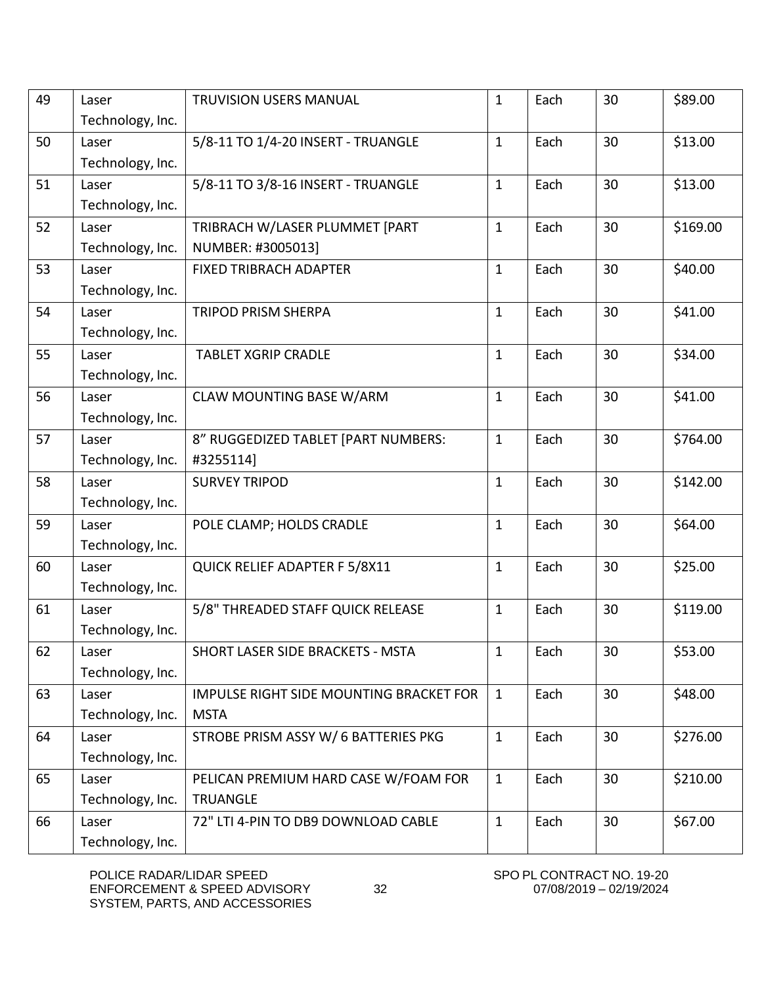| 49 | Laser<br>Technology, Inc. | <b>TRUVISION USERS MANUAL</b>                           | 1            | Each | 30 | \$89.00  |
|----|---------------------------|---------------------------------------------------------|--------------|------|----|----------|
| 50 | Laser<br>Technology, Inc. | 5/8-11 TO 1/4-20 INSERT - TRUANGLE                      | $\mathbf{1}$ | Each | 30 | \$13.00  |
| 51 | Laser<br>Technology, Inc. | 5/8-11 TO 3/8-16 INSERT - TRUANGLE                      | $\mathbf{1}$ | Each | 30 | \$13.00  |
| 52 | Laser<br>Technology, Inc. | TRIBRACH W/LASER PLUMMET [PART<br>NUMBER: #3005013]     | $\mathbf{1}$ | Each | 30 | \$169.00 |
| 53 | Laser<br>Technology, Inc. | <b>FIXED TRIBRACH ADAPTER</b>                           | 1            | Each | 30 | \$40.00  |
| 54 | Laser<br>Technology, Inc. | <b>TRIPOD PRISM SHERPA</b>                              | $\mathbf{1}$ | Each | 30 | \$41.00  |
| 55 | Laser<br>Technology, Inc. | <b>TABLET XGRIP CRADLE</b>                              | $\mathbf{1}$ | Each | 30 | \$34.00  |
| 56 | Laser<br>Technology, Inc. | <b>CLAW MOUNTING BASE W/ARM</b>                         | $\mathbf{1}$ | Each | 30 | \$41.00  |
| 57 | Laser<br>Technology, Inc. | 8" RUGGEDIZED TABLET [PART NUMBERS:<br>#3255114]        | $\mathbf{1}$ | Each | 30 | \$764.00 |
| 58 | Laser<br>Technology, Inc. | <b>SURVEY TRIPOD</b>                                    | $\mathbf{1}$ | Each | 30 | \$142.00 |
| 59 | Laser<br>Technology, Inc. | POLE CLAMP; HOLDS CRADLE                                | $\mathbf{1}$ | Each | 30 | \$64.00  |
| 60 | Laser<br>Technology, Inc. | QUICK RELIEF ADAPTER F 5/8X11                           | $\mathbf{1}$ | Each | 30 | \$25.00  |
| 61 | Laser<br>Technology, Inc. | 5/8" THREADED STAFF QUICK RELEASE                       | $\mathbf{1}$ | Each | 30 | \$119.00 |
| 62 | Laser<br>Technology, Inc. | SHORT LASER SIDE BRACKETS - MSTA                        | 1            | Each | 30 | \$53.00  |
| 63 | Laser<br>Technology, Inc. | IMPULSE RIGHT SIDE MOUNTING BRACKET FOR<br><b>MSTA</b>  | $\mathbf{1}$ | Each | 30 | \$48.00  |
| 64 | Laser<br>Technology, Inc. | STROBE PRISM ASSY W/ 6 BATTERIES PKG                    | $\mathbf{1}$ | Each | 30 | \$276.00 |
| 65 | Laser<br>Technology, Inc. | PELICAN PREMIUM HARD CASE W/FOAM FOR<br><b>TRUANGLE</b> | $\mathbf{1}$ | Each | 30 | \$210.00 |
| 66 | Laser<br>Technology, Inc. | 72" LTI 4-PIN TO DB9 DOWNLOAD CABLE                     | $\mathbf{1}$ | Each | 30 | \$67.00  |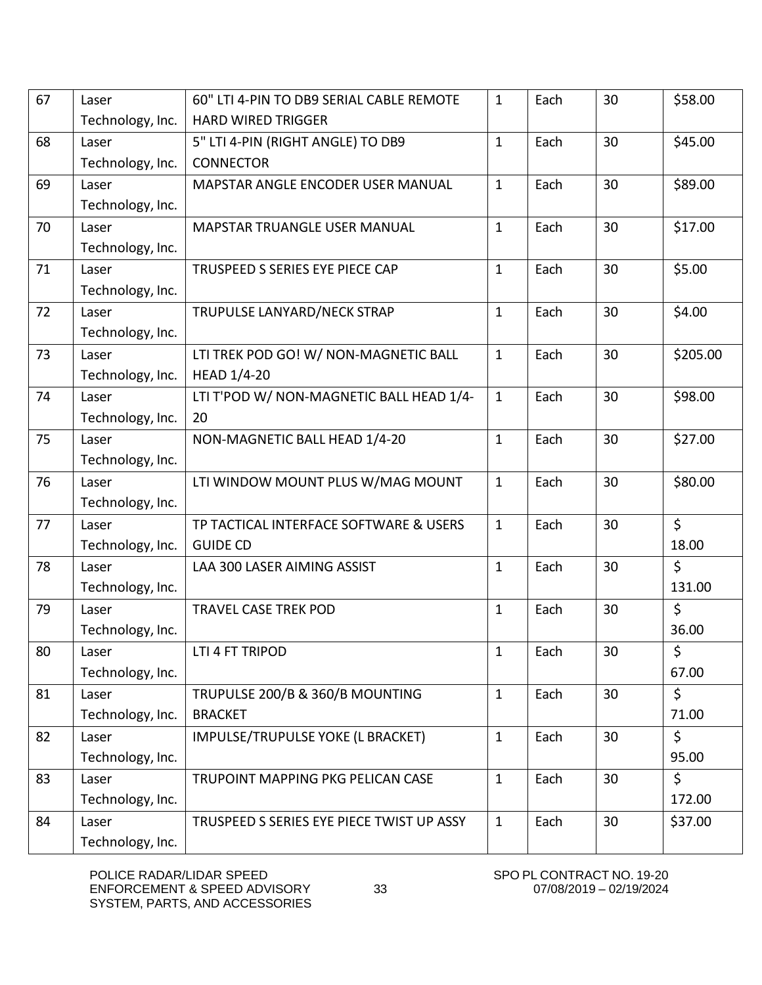| 67 | Laser            | 60" LTI 4-PIN TO DB9 SERIAL CABLE REMOTE  | $\mathbf{1}$ | Each | 30 | \$58.00  |
|----|------------------|-------------------------------------------|--------------|------|----|----------|
|    | Technology, Inc. | <b>HARD WIRED TRIGGER</b>                 |              |      |    |          |
| 68 | Laser            | 5" LTI 4-PIN (RIGHT ANGLE) TO DB9         | $\mathbf{1}$ | Each | 30 | \$45.00  |
|    | Technology, Inc. | <b>CONNECTOR</b>                          |              |      |    |          |
| 69 | Laser            | MAPSTAR ANGLE ENCODER USER MANUAL         | $\mathbf{1}$ | Each | 30 | \$89.00  |
|    | Technology, Inc. |                                           |              |      |    |          |
| 70 | Laser            | <b>MAPSTAR TRUANGLE USER MANUAL</b>       | $\mathbf{1}$ | Each | 30 | \$17.00  |
|    | Technology, Inc. |                                           |              |      |    |          |
| 71 | Laser            | TRUSPEED S SERIES EYE PIECE CAP           | $\mathbf{1}$ | Each | 30 | \$5.00   |
|    | Technology, Inc. |                                           |              |      |    |          |
| 72 | Laser            | TRUPULSE LANYARD/NECK STRAP               | $\mathbf{1}$ | Each | 30 | \$4.00   |
|    | Technology, Inc. |                                           |              |      |    |          |
| 73 | Laser            | LTI TREK POD GO! W/ NON-MAGNETIC BALL     | $\mathbf{1}$ | Each | 30 | \$205.00 |
|    | Technology, Inc. | <b>HEAD 1/4-20</b>                        |              |      |    |          |
| 74 | Laser            | LTI T'POD W/ NON-MAGNETIC BALL HEAD 1/4-  | $\mathbf{1}$ | Each | 30 | \$98.00  |
|    | Technology, Inc. | 20                                        |              |      |    |          |
| 75 | Laser            | NON-MAGNETIC BALL HEAD 1/4-20             | $\mathbf{1}$ | Each | 30 | \$27.00  |
|    | Technology, Inc. |                                           |              |      |    |          |
| 76 | Laser            | LTI WINDOW MOUNT PLUS W/MAG MOUNT         | $\mathbf{1}$ | Each | 30 | \$80.00  |
|    | Technology, Inc. |                                           |              |      |    |          |
| 77 | Laser            | TP TACTICAL INTERFACE SOFTWARE & USERS    | $\mathbf{1}$ | Each | 30 | $\zeta$  |
|    | Technology, Inc. | <b>GUIDE CD</b>                           |              |      |    | 18.00    |
| 78 | Laser            | LAA 300 LASER AIMING ASSIST               | 1            | Each | 30 | $\zeta$  |
|    | Technology, Inc. |                                           |              |      |    | 131.00   |
| 79 | Laser            | <b>TRAVEL CASE TREK POD</b>               | $\mathbf{1}$ | Each | 30 | \$       |
|    | Technology, Inc. |                                           |              |      |    | 36.00    |
| 80 | Laser            | LTI 4 FT TRIPOD                           | 1            | Each | 30 | \$       |
|    | Technology, Inc. |                                           |              |      |    | 67.00    |
| 81 | Laser            | TRUPULSE 200/B & 360/B MOUNTING           | $\mathbf{1}$ | Each | 30 | $\zeta$  |
|    | Technology, Inc. | <b>BRACKET</b>                            |              |      |    | 71.00    |
| 82 | Laser            | IMPULSE/TRUPULSE YOKE (L BRACKET)         | $\mathbf{1}$ | Each | 30 | \$       |
|    | Technology, Inc. |                                           |              |      |    | 95.00    |
| 83 | Laser            | TRUPOINT MAPPING PKG PELICAN CASE         | $\mathbf{1}$ | Each | 30 | \$       |
|    | Technology, Inc. |                                           |              |      |    | 172.00   |
| 84 | Laser            | TRUSPEED S SERIES EYE PIECE TWIST UP ASSY | $\mathbf{1}$ | Each | 30 | \$37.00  |
|    | Technology, Inc. |                                           |              |      |    |          |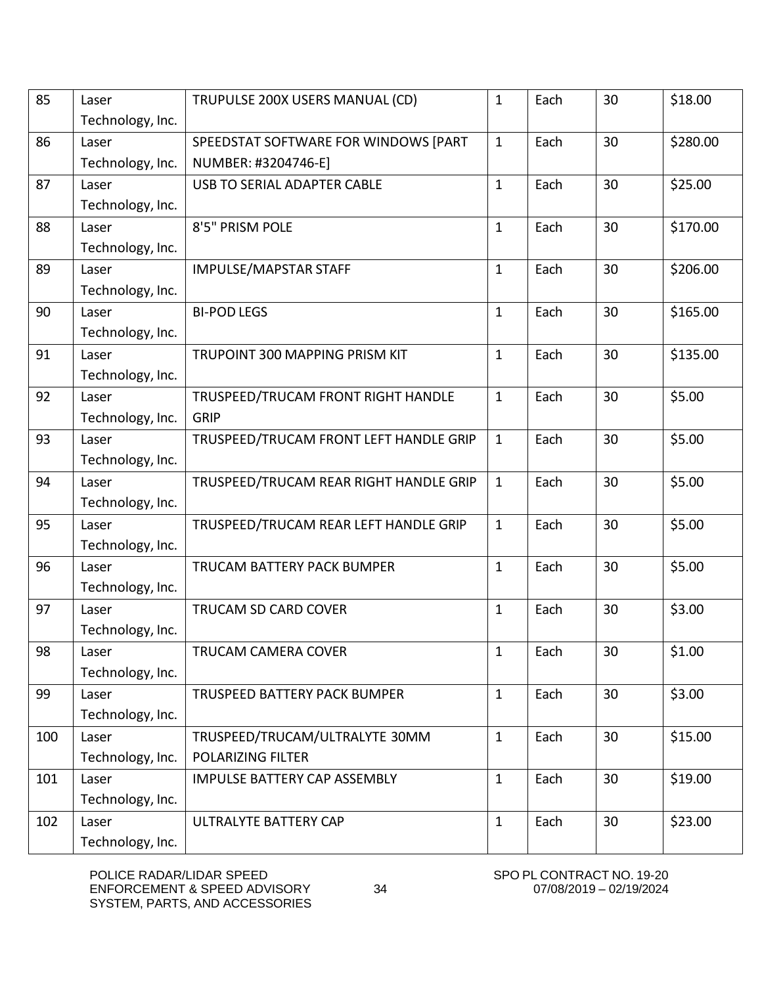| 85<br>30<br>\$18.00<br>TRUPULSE 200X USERS MANUAL (CD)<br>Each<br>1<br>Laser<br>Technology, Inc.<br>30<br>\$280.00<br>86<br>SPEEDSTAT SOFTWARE FOR WINDOWS [PART<br>$\mathbf{1}$<br>Each<br>Laser<br>Technology, Inc.<br>NUMBER: #3204746-E]<br>$\mathbf{1}$<br>30<br>\$25.00<br>87<br>Each<br>USB TO SERIAL ADAPTER CABLE<br>Laser<br>Technology, Inc.<br>30<br>88<br>\$170.00<br>8'5" PRISM POLE<br>$\mathbf{1}$<br>Each<br>Laser<br>Technology, Inc.<br>30<br>\$206.00<br>89<br>IMPULSE/MAPSTAR STAFF<br>$\mathbf{1}$<br>Each<br>Laser<br>Technology, Inc.<br>90<br>$\mathbf{1}$<br>30<br>\$165.00<br><b>BI-POD LEGS</b><br>Each<br>Laser |
|----------------------------------------------------------------------------------------------------------------------------------------------------------------------------------------------------------------------------------------------------------------------------------------------------------------------------------------------------------------------------------------------------------------------------------------------------------------------------------------------------------------------------------------------------------------------------------------------------------------------------------------------|
|                                                                                                                                                                                                                                                                                                                                                                                                                                                                                                                                                                                                                                              |
|                                                                                                                                                                                                                                                                                                                                                                                                                                                                                                                                                                                                                                              |
|                                                                                                                                                                                                                                                                                                                                                                                                                                                                                                                                                                                                                                              |
|                                                                                                                                                                                                                                                                                                                                                                                                                                                                                                                                                                                                                                              |
|                                                                                                                                                                                                                                                                                                                                                                                                                                                                                                                                                                                                                                              |
|                                                                                                                                                                                                                                                                                                                                                                                                                                                                                                                                                                                                                                              |
|                                                                                                                                                                                                                                                                                                                                                                                                                                                                                                                                                                                                                                              |
|                                                                                                                                                                                                                                                                                                                                                                                                                                                                                                                                                                                                                                              |
|                                                                                                                                                                                                                                                                                                                                                                                                                                                                                                                                                                                                                                              |
|                                                                                                                                                                                                                                                                                                                                                                                                                                                                                                                                                                                                                                              |
|                                                                                                                                                                                                                                                                                                                                                                                                                                                                                                                                                                                                                                              |
| Technology, Inc.                                                                                                                                                                                                                                                                                                                                                                                                                                                                                                                                                                                                                             |
| 30<br>\$135.00<br>91<br>$\mathbf{1}$<br>Each<br>TRUPOINT 300 MAPPING PRISM KIT<br>Laser                                                                                                                                                                                                                                                                                                                                                                                                                                                                                                                                                      |
| Technology, Inc.                                                                                                                                                                                                                                                                                                                                                                                                                                                                                                                                                                                                                             |
| \$5.00<br>92<br>$\mathbf{1}$<br>Each<br>30<br>TRUSPEED/TRUCAM FRONT RIGHT HANDLE<br>Laser                                                                                                                                                                                                                                                                                                                                                                                                                                                                                                                                                    |
| Technology, Inc.<br><b>GRIP</b>                                                                                                                                                                                                                                                                                                                                                                                                                                                                                                                                                                                                              |
| 30<br>\$5.00<br>93<br>Each<br>TRUSPEED/TRUCAM FRONT LEFT HANDLE GRIP<br>$\mathbf{1}$<br>Laser                                                                                                                                                                                                                                                                                                                                                                                                                                                                                                                                                |
| Technology, Inc.                                                                                                                                                                                                                                                                                                                                                                                                                                                                                                                                                                                                                             |
| 30<br>\$5.00<br>94<br>$\mathbf{1}$<br>Each<br>Laser<br>TRUSPEED/TRUCAM REAR RIGHT HANDLE GRIP                                                                                                                                                                                                                                                                                                                                                                                                                                                                                                                                                |
| Technology, Inc.                                                                                                                                                                                                                                                                                                                                                                                                                                                                                                                                                                                                                             |
| $\mathbf{1}$<br>30<br>\$5.00<br>95<br>Laser<br>Each                                                                                                                                                                                                                                                                                                                                                                                                                                                                                                                                                                                          |
| TRUSPEED/TRUCAM REAR LEFT HANDLE GRIP                                                                                                                                                                                                                                                                                                                                                                                                                                                                                                                                                                                                        |
| Technology, Inc.                                                                                                                                                                                                                                                                                                                                                                                                                                                                                                                                                                                                                             |
| 30<br>\$5.00<br>96<br>$\mathbf{1}$<br>Each<br>TRUCAM BATTERY PACK BUMPER<br>Laser                                                                                                                                                                                                                                                                                                                                                                                                                                                                                                                                                            |
| Technology, Inc.                                                                                                                                                                                                                                                                                                                                                                                                                                                                                                                                                                                                                             |
| 30<br>\$3.00<br>97<br>$\mathbf{1}$<br>Each<br>TRUCAM SD CARD COVER<br>Laser                                                                                                                                                                                                                                                                                                                                                                                                                                                                                                                                                                  |
| Technology, Inc.                                                                                                                                                                                                                                                                                                                                                                                                                                                                                                                                                                                                                             |
| 30<br>\$1.00<br>98<br><b>TRUCAM CAMERA COVER</b><br>Each<br>1<br>Laser                                                                                                                                                                                                                                                                                                                                                                                                                                                                                                                                                                       |
| Technology, Inc.                                                                                                                                                                                                                                                                                                                                                                                                                                                                                                                                                                                                                             |
| 30<br>\$3.00<br>$\mathbf{1}$<br>99<br>Each<br><b>TRUSPEED BATTERY PACK BUMPER</b><br>Laser                                                                                                                                                                                                                                                                                                                                                                                                                                                                                                                                                   |
| Technology, Inc.                                                                                                                                                                                                                                                                                                                                                                                                                                                                                                                                                                                                                             |
| $\mathbf{1}$<br>\$15.00<br>100<br>Each<br>30<br>Laser<br>TRUSPEED/TRUCAM/ULTRALYTE 30MM                                                                                                                                                                                                                                                                                                                                                                                                                                                                                                                                                      |
| Technology, Inc.<br><b>POLARIZING FILTER</b>                                                                                                                                                                                                                                                                                                                                                                                                                                                                                                                                                                                                 |
| 30<br>\$19.00<br>101<br>Each<br><b>IMPULSE BATTERY CAP ASSEMBLY</b><br>$\mathbf{1}$<br>Laser                                                                                                                                                                                                                                                                                                                                                                                                                                                                                                                                                 |
| Technology, Inc.                                                                                                                                                                                                                                                                                                                                                                                                                                                                                                                                                                                                                             |
| 30<br>\$23.00<br>102<br><b>ULTRALYTE BATTERY CAP</b><br>$\mathbf{1}$<br>Each<br>Laser                                                                                                                                                                                                                                                                                                                                                                                                                                                                                                                                                        |
| Technology, Inc.                                                                                                                                                                                                                                                                                                                                                                                                                                                                                                                                                                                                                             |